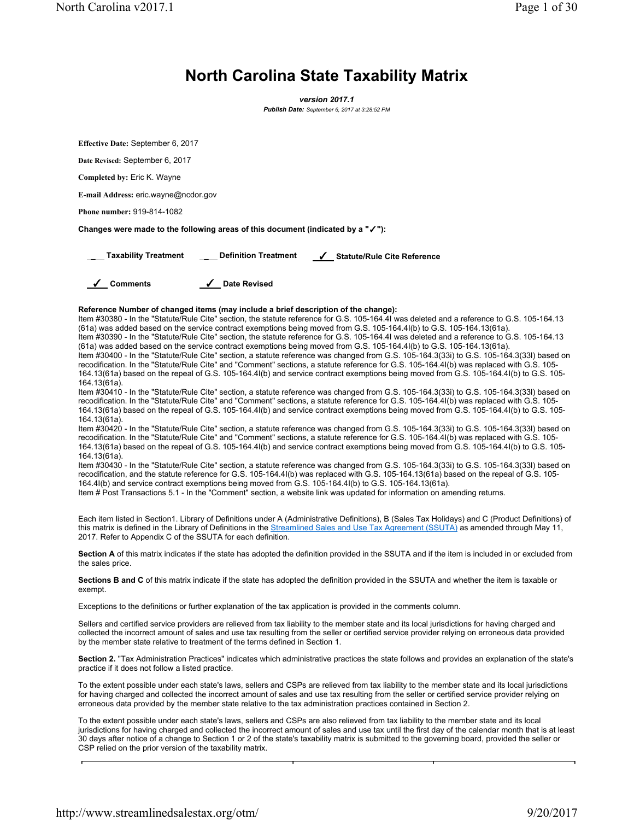North Carolina v2017.1 Page 1 of 30

## **North Carolina State Taxability Matrix**

*version 2017.1 Publish Date: September 6, 2017 at 3:28:52 PM*

**Effective Date:** September 6, 2017 **Date Revised:** September 6, 2017 **Completed by:** Eric K. Wayne **E-mail Address:** eric.wayne@ncdor.gov **Phone number:** 919-814-1082 **Changes were made to the following areas of this document (indicated by a "**✓**"):** \_ **Taxability Treatment** \_ **Definition Treatment** ✓ **Statute/Rule Cite Reference** ✓ **Comments** ✓ **Date Revised Reference Number of changed items (may include a brief description of the change):** Item #30380 - In the "Statute/Rule Cite" section, the statute reference for G.S. 105-164.4I was deleted and a reference to G.S. 105-164.13 (61a) was added based on the service contract exemptions being moved from G.S. 105-164.4I(b) to G.S. 105-164.13(61a). Item #30390 - In the "Statute/Rule Cite" section, the statute reference for G.S. 105-164.4I was deleted and a reference to G.S. 105-164.13 (61a) was added based on the service contract exemptions being moved from G.S. 105-164.4I(b) to G.S. 105-164.13(61a). Item #30400 - In the "Statute/Rule Cite" section, a statute reference was changed from G.S. 105-164.3(33i) to G.S. 105-164.3(33l) based on recodification. In the "Statute/Rule Cite" and "Comment" sections, a statute reference for G.S. 105-164.4I(b) was replaced with G.S. 105- 164.13(61a) based on the repeal of G.S. 105-164.4I(b) and service contract exemptions being moved from G.S. 105-164.4I(b) to G.S. 105- 164.13(61a). Item #30410 - In the "Statute/Rule Cite" section, a statute reference was changed from G.S. 105-164.3(33i) to G.S. 105-164.3(33l) based on recodification. In the "Statute/Rule Cite" and "Comment" sections, a statute reference for G.S. 105-164.4I(b) was replaced with G.S. 105- 164.13(61a) based on the repeal of G.S. 105-164.4I(b) and service contract exemptions being moved from G.S. 105-164.4I(b) to G.S. 105- 164.13(61a). Item #30420 - In the "Statute/Rule Cite" section, a statute reference was changed from G.S. 105-164.3(33i) to G.S. 105-164.3(33I) based on recodification. In the "Statute/Rule Cite" and "Comment" sections, a statute reference for G.S. 105-164.4I(b) was replaced with G.S. 105- 164.13(61a) based on the repeal of G.S. 105-164.4I(b) and service contract exemptions being moved from G.S. 105-164.4I(b) to G.S. 105- 164.13(61a). Item #30430 - In the "Statute/Rule Cite" section, a statute reference was changed from G.S. 105-164.3(33i) to G.S. 105-164.3(33l) based on recodification, and the statute reference for G.S. 105-164.4I(b) was replaced with G.S. 105-164.13(61a) based on the repeal of G.S. 105- 164.4I(b) and service contract exemptions being moved from G.S. 105-164.4I(b) to G.S. 105-164.13(61a). Item # Post Transactions 5.1 - In the "Comment" section, a website link was updated for information on amending returns. Each item listed in Section1. Library of Definitions under A (Administrative Definitions), B (Sales Tax Holidays) and C (Product Definitions) of this matrix is defined in the Library of Definitions in the Streamlined Sales and Use Tax Agreement (SSUTA) as amended through May 11, 2017. Refer to Appendix C of the SSUTA for each definition. Section A of this matrix indicates if the state has adopted the definition provided in the SSUTA and if the item is included in or excluded from the sales price. **Sections B and C** of this matrix indicate if the state has adopted the definition provided in the SSUTA and whether the item is taxable or exempt. Exceptions to the definitions or further explanation of the tax application is provided in the comments column. Sellers and certified service providers are relieved from tax liability to the member state and its local jurisdictions for having charged and collected the incorrect amount of sales and use tax resulting from the seller or certified service provider relying on erroneous data provided by the member state relative to treatment of the terms defined in Section 1. **Section 2.** "Tax Administration Practices" indicates which administrative practices the state follows and provides an explanation of the state's practice if it does not follow a listed practice. To the extent possible under each state's laws, sellers and CSPs are relieved from tax liability to the member state and its local jurisdictions for having charged and collected the incorrect amount of sales and use tax resulting from the seller or certified service provider relying on erroneous data provided by the member state relative to the tax administration practices contained in Section 2.

To the extent possible under each state's laws, sellers and CSPs are also relieved from tax liability to the member state and its local jurisdictions for having charged and collected the incorrect amount of sales and use tax until the first day of the calendar month that is at least 30 days after notice of a change to Section 1 or 2 of the state's taxability matrix is submitted to the governing board, provided the seller or CSP relied on the prior version of the taxability matrix.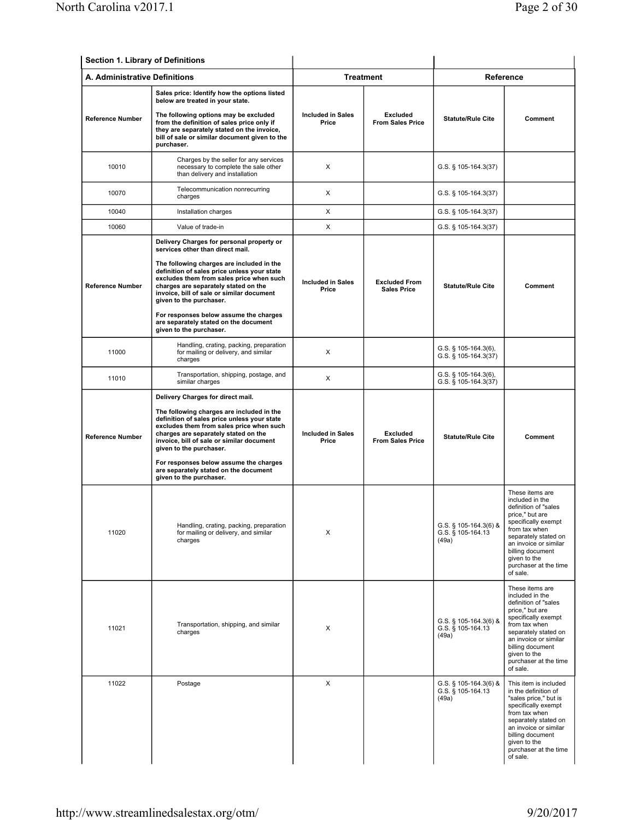| Section 1. Library of Definitions |                                                                                                                                                                                                                                                                                                                                                                                                                                                     |                                   |                                            |                                                     |                                                                                                                                                                                                                                                 |
|-----------------------------------|-----------------------------------------------------------------------------------------------------------------------------------------------------------------------------------------------------------------------------------------------------------------------------------------------------------------------------------------------------------------------------------------------------------------------------------------------------|-----------------------------------|--------------------------------------------|-----------------------------------------------------|-------------------------------------------------------------------------------------------------------------------------------------------------------------------------------------------------------------------------------------------------|
| A. Administrative Definitions     |                                                                                                                                                                                                                                                                                                                                                                                                                                                     |                                   | <b>Treatment</b>                           |                                                     | Reference                                                                                                                                                                                                                                       |
| <b>Reference Number</b>           | Sales price: Identify how the options listed<br>below are treated in your state.<br>The following options may be excluded<br>from the definition of sales price only if<br>they are separately stated on the invoice,<br>bill of sale or similar document given to the<br>purchaser.                                                                                                                                                                | <b>Included in Sales</b><br>Price | Excluded<br><b>From Sales Price</b>        | <b>Statute/Rule Cite</b>                            | Comment                                                                                                                                                                                                                                         |
| 10010                             | Charges by the seller for any services<br>necessary to complete the sale other<br>than delivery and installation                                                                                                                                                                                                                                                                                                                                    | X                                 |                                            | G.S. § 105-164.3(37)                                |                                                                                                                                                                                                                                                 |
| 10070                             | Telecommunication nonrecurring<br>charges                                                                                                                                                                                                                                                                                                                                                                                                           | X                                 |                                            | G.S. § 105-164.3(37)                                |                                                                                                                                                                                                                                                 |
| 10040                             | Installation charges                                                                                                                                                                                                                                                                                                                                                                                                                                | X                                 |                                            | G.S. § 105-164.3(37)                                |                                                                                                                                                                                                                                                 |
| 10060                             | Value of trade-in                                                                                                                                                                                                                                                                                                                                                                                                                                   | X                                 |                                            | G.S. $\S$ 105-164.3(37)                             |                                                                                                                                                                                                                                                 |
| <b>Reference Number</b>           | Delivery Charges for personal property or<br>services other than direct mail.<br>The following charges are included in the<br>definition of sales price unless your state<br>excludes them from sales price when such<br>charges are separately stated on the<br>invoice, bill of sale or similar document<br>given to the purchaser.<br>For responses below assume the charges<br>are separately stated on the document<br>given to the purchaser. | <b>Included in Sales</b><br>Price | <b>Excluded From</b><br><b>Sales Price</b> | <b>Statute/Rule Cite</b>                            | Comment                                                                                                                                                                                                                                         |
| 11000                             | Handling, crating, packing, preparation<br>for mailing or delivery, and similar<br>charges                                                                                                                                                                                                                                                                                                                                                          | X                                 |                                            | G.S. $\S$ 105-164.3(6),<br>G.S. § 105-164.3(37)     |                                                                                                                                                                                                                                                 |
| 11010                             | Transportation, shipping, postage, and<br>similar charges                                                                                                                                                                                                                                                                                                                                                                                           | Χ                                 |                                            | $G.S.$ § 105-164.3(6),<br>G.S. § 105-164.3(37)      |                                                                                                                                                                                                                                                 |
| <b>Reference Number</b>           | Delivery Charges for direct mail.<br>The following charges are included in the<br>definition of sales price unless your state<br>excludes them from sales price when such<br>charges are separately stated on the<br>invoice, bill of sale or similar document<br>given to the purchaser.<br>For responses below assume the charges                                                                                                                 | <b>Included in Sales</b><br>Price | <b>Excluded</b><br><b>From Sales Price</b> | <b>Statute/Rule Cite</b>                            | Comment                                                                                                                                                                                                                                         |
| 11020                             | are separately stated on the document<br>given to the purchaser.<br>Handling, crating, packing, preparation<br>for mailing or delivery, and similar<br>charges                                                                                                                                                                                                                                                                                      | х                                 |                                            | G.S. § 105-164.3(6) &<br>G.S. § 105-164.13<br>(49a) | These items are<br>included in the<br>definition of "sales<br>price," but are<br>specifically exempt<br>from tax when<br>separately stated on<br>an invoice or similar<br>billing document<br>given to the<br>purchaser at the time<br>of sale. |
| 11021                             | Transportation, shipping, and similar<br>charges                                                                                                                                                                                                                                                                                                                                                                                                    | X                                 |                                            | G.S. § 105-164.3(6) &<br>G.S. § 105-164.13<br>(49a) | These items are<br>included in the<br>definition of "sales<br>price," but are<br>specifically exempt<br>from tax when<br>separately stated on<br>an invoice or similar<br>billing document<br>given to the<br>purchaser at the time<br>of sale. |
| 11022                             | Postage                                                                                                                                                                                                                                                                                                                                                                                                                                             | X                                 |                                            | G.S. § 105-164.3(6) &<br>G.S. § 105-164.13<br>(49a) | This item is included<br>in the definition of<br>"sales price," but is<br>specifically exempt<br>from tax when<br>separately stated on<br>an invoice or similar<br>billing document<br>given to the<br>purchaser at the time<br>of sale.        |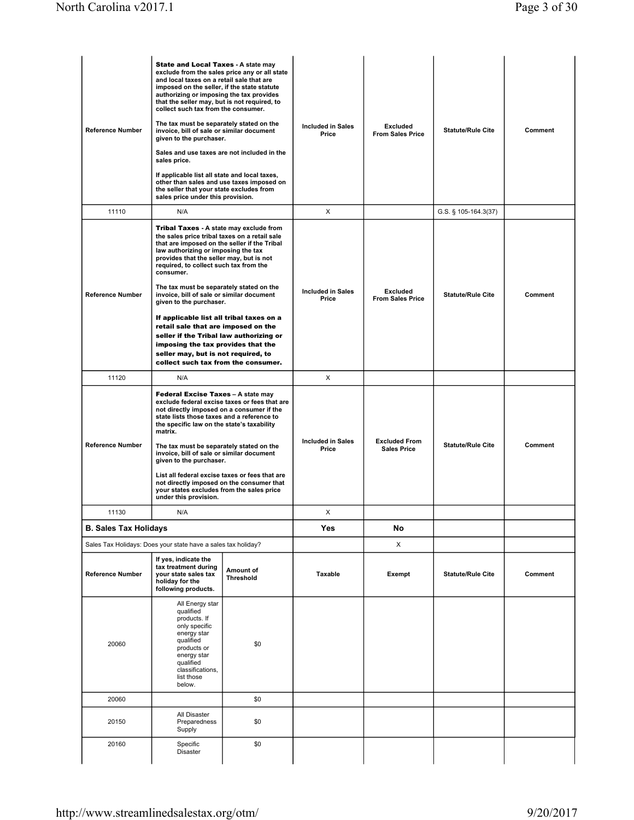| <b>Reference Number</b>      | <b>State and Local Taxes - A state may</b><br>exclude from the sales price any or all state<br>and local taxes on a retail sale that are<br>imposed on the seller, if the state statute<br>authorizing or imposing the tax provides<br>that the seller may, but is not required, to<br>collect such tax from the consumer.<br>The tax must be separately stated on the<br>invoice, bill of sale or similar document<br>given to the purchaser.<br>Sales and use taxes are not included in the<br>sales price.<br>If applicable list all state and local taxes,<br>other than sales and use taxes imposed on<br>the seller that your state excludes from<br>sales price under this provision. |                                               | <b>Included in Sales</b><br>Price | <b>Excluded</b><br><b>From Sales Price</b> | <b>Statute/Rule Cite</b> | Comment |
|------------------------------|----------------------------------------------------------------------------------------------------------------------------------------------------------------------------------------------------------------------------------------------------------------------------------------------------------------------------------------------------------------------------------------------------------------------------------------------------------------------------------------------------------------------------------------------------------------------------------------------------------------------------------------------------------------------------------------------|-----------------------------------------------|-----------------------------------|--------------------------------------------|--------------------------|---------|
| 11110                        | N/A                                                                                                                                                                                                                                                                                                                                                                                                                                                                                                                                                                                                                                                                                          |                                               | X                                 |                                            | G.S. § 105-164.3(37)     |         |
| <b>Reference Number</b>      | Tribal Taxes - A state may exclude from<br>the sales price tribal taxes on a retail sale<br>that are imposed on the seller if the Tribal<br>law authorizing or imposing the tax<br>provides that the seller may, but is not<br>required, to collect such tax from the<br>consumer.<br>The tax must be separately stated on the<br>invoice, bill of sale or similar document<br>given to the purchaser.                                                                                                                                                                                                                                                                                       |                                               | <b>Included in Sales</b><br>Price | <b>Excluded</b><br><b>From Sales Price</b> | <b>Statute/Rule Cite</b> | Comment |
|                              | If applicable list all tribal taxes on a<br>retail sale that are imposed on the<br>seller if the Tribal law authorizing or<br>imposing the tax provides that the<br>seller may, but is not required, to<br>collect such tax from the consumer.                                                                                                                                                                                                                                                                                                                                                                                                                                               |                                               |                                   |                                            |                          |         |
| 11120                        | N/A                                                                                                                                                                                                                                                                                                                                                                                                                                                                                                                                                                                                                                                                                          |                                               | X                                 |                                            |                          |         |
| <b>Reference Number</b>      | Federal Excise Taxes - A state may<br>not directly imposed on a consumer if the<br>state lists those taxes and a reference to<br>the specific law on the state's taxability<br>matrix.<br>The tax must be separately stated on the<br>invoice, bill of sale or similar document<br>given to the purchaser.<br>List all federal excise taxes or fees that are<br>not directly imposed on the consumer that<br>your states excludes from the sales price                                                                                                                                                                                                                                       | exclude federal excise taxes or fees that are | <b>Included in Sales</b><br>Price | <b>Excluded From</b><br><b>Sales Price</b> | <b>Statute/Rule Cite</b> | Comment |
|                              | under this provision.                                                                                                                                                                                                                                                                                                                                                                                                                                                                                                                                                                                                                                                                        |                                               |                                   |                                            |                          |         |
| 11130                        | N/A                                                                                                                                                                                                                                                                                                                                                                                                                                                                                                                                                                                                                                                                                          |                                               | X                                 |                                            |                          |         |
| <b>B. Sales Tax Holidays</b> |                                                                                                                                                                                                                                                                                                                                                                                                                                                                                                                                                                                                                                                                                              |                                               | Yes                               | No                                         |                          |         |
| <b>Reference Number</b>      | Sales Tax Holidays: Does your state have a sales tax holiday?<br>If yes, indicate the<br>tax treatment during<br>your state sales tax<br>holiday for the<br>following products.                                                                                                                                                                                                                                                                                                                                                                                                                                                                                                              | Amount of<br><b>Threshold</b>                 | Taxable                           | X<br>Exempt                                | <b>Statute/Rule Cite</b> | Comment |
| 20060                        | All Energy star<br>qualified<br>products. If<br>only specific<br>energy star<br>qualified<br>products or<br>energy star<br>qualified<br>classifications,<br>list those<br>below.                                                                                                                                                                                                                                                                                                                                                                                                                                                                                                             | \$0                                           |                                   |                                            |                          |         |
| 20060                        |                                                                                                                                                                                                                                                                                                                                                                                                                                                                                                                                                                                                                                                                                              | \$0                                           |                                   |                                            |                          |         |
| 20150                        | All Disaster<br>Preparedness<br>Supply                                                                                                                                                                                                                                                                                                                                                                                                                                                                                                                                                                                                                                                       | \$0                                           |                                   |                                            |                          |         |
| 20160                        | Specific<br><b>Disaster</b>                                                                                                                                                                                                                                                                                                                                                                                                                                                                                                                                                                                                                                                                  | \$0                                           |                                   |                                            |                          |         |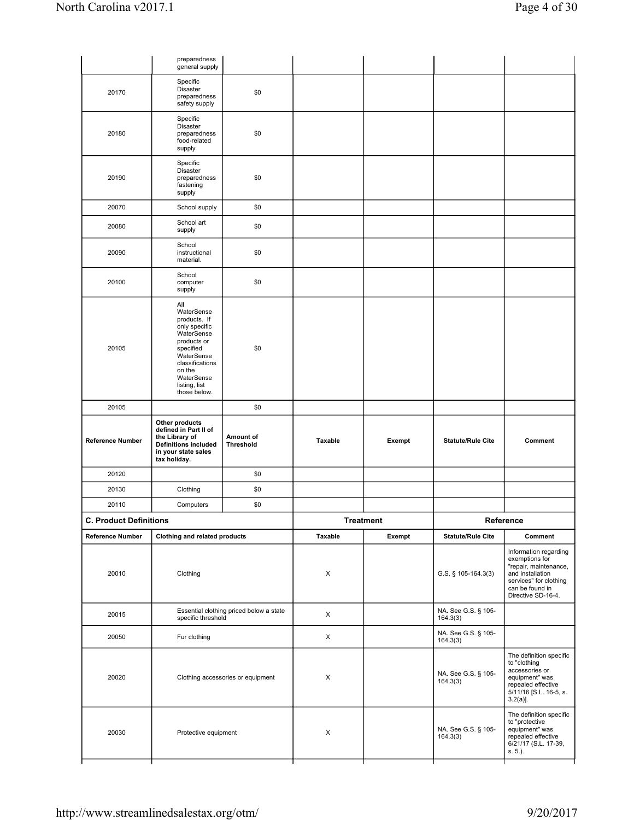|                               | preparedness<br>general supply                                                                                                                                                         |                                         |         |                  |                                 |                                                                                                                                                         |
|-------------------------------|----------------------------------------------------------------------------------------------------------------------------------------------------------------------------------------|-----------------------------------------|---------|------------------|---------------------------------|---------------------------------------------------------------------------------------------------------------------------------------------------------|
| 20170                         | Specific<br><b>Disaster</b><br>preparedness<br>safety supply                                                                                                                           | \$0                                     |         |                  |                                 |                                                                                                                                                         |
| 20180                         | Specific<br>Disaster<br>preparedness<br>food-related<br>supply                                                                                                                         | \$0                                     |         |                  |                                 |                                                                                                                                                         |
| 20190                         | Specific<br><b>Disaster</b><br>preparedness<br>fastening<br>supply                                                                                                                     | \$0                                     |         |                  |                                 |                                                                                                                                                         |
| 20070                         | School supply                                                                                                                                                                          | \$0                                     |         |                  |                                 |                                                                                                                                                         |
| 20080                         | School art<br>supply                                                                                                                                                                   | \$0                                     |         |                  |                                 |                                                                                                                                                         |
| 20090                         | School<br>instructional<br>material.                                                                                                                                                   | \$0                                     |         |                  |                                 |                                                                                                                                                         |
| 20100                         | School<br>computer<br>supply                                                                                                                                                           | \$0                                     |         |                  |                                 |                                                                                                                                                         |
| 20105                         | All<br>WaterSense<br>products. If<br>only specific<br>WaterSense<br>products or<br>specified<br>WaterSense<br>classifications<br>on the<br>WaterSense<br>listing, list<br>those below. | \$0                                     |         |                  |                                 |                                                                                                                                                         |
| 20105                         |                                                                                                                                                                                        | \$0                                     |         |                  |                                 |                                                                                                                                                         |
| <b>Reference Number</b>       | Other products<br>defined in Part II of<br>the Library of<br><b>Definitions included</b><br>in your state sales<br>tax holiday.                                                        | Amount of<br><b>Threshold</b>           | Taxable | Exempt           | <b>Statute/Rule Cite</b>        | Comment                                                                                                                                                 |
| 20120                         |                                                                                                                                                                                        | \$0                                     |         |                  |                                 |                                                                                                                                                         |
| 20130                         | Clothing                                                                                                                                                                               | \$0                                     |         |                  |                                 |                                                                                                                                                         |
| 20110                         | Computers                                                                                                                                                                              | \$0                                     |         |                  |                                 |                                                                                                                                                         |
| <b>C. Product Definitions</b> |                                                                                                                                                                                        |                                         |         | <b>Treatment</b> |                                 | Reference                                                                                                                                               |
| <b>Reference Number</b>       | Clothing and related products                                                                                                                                                          |                                         | Taxable | Exempt           | <b>Statute/Rule Cite</b>        | Comment                                                                                                                                                 |
| 20010                         | Clothing                                                                                                                                                                               |                                         | X       |                  | G.S. § 105-164.3(3)             | Information regarding<br>exemptions for<br>"repair, maintenance,<br>and installation<br>services" for clothing<br>can be found in<br>Directive SD-16-4. |
| 20015                         | specific threshold                                                                                                                                                                     | Essential clothing priced below a state | X       |                  | NA. See G.S. § 105-<br>164.3(3) |                                                                                                                                                         |
| 20050                         | Fur clothing                                                                                                                                                                           |                                         | X       |                  | NA. See G.S. § 105-<br>164.3(3) |                                                                                                                                                         |
| 20020                         |                                                                                                                                                                                        | Clothing accessories or equipment       | X       |                  | NA. See G.S. § 105-<br>164.3(3) | The definition specific<br>to "clothing<br>accessories or<br>equipment" was<br>repealed effective<br>5/11/16 [S.L. 16-5, s.<br>$3.2(a)$ ].              |
| 20030                         | Protective equipment                                                                                                                                                                   |                                         | X       |                  | NA. See G.S. § 105-<br>164.3(3) | The definition specific<br>to "protective<br>equipment" was<br>repealed effective<br>6/21/17 (S.L. 17-39,<br>s. 5.).                                    |
|                               |                                                                                                                                                                                        |                                         |         |                  |                                 |                                                                                                                                                         |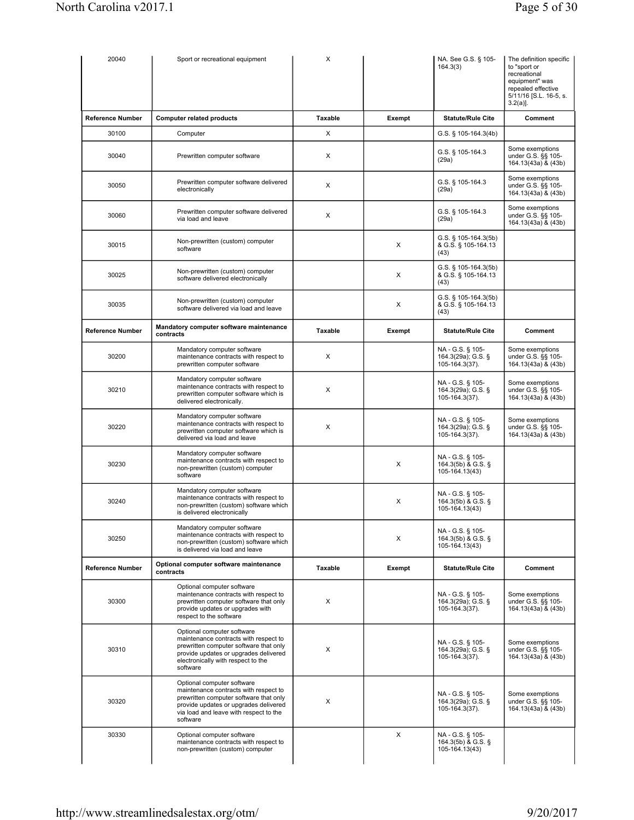| 20040                   | Sport or recreational equipment                                                                                                                                                                              | X       |        | NA. See G.S. § 105-<br>164.3(3)                          | The definition specific<br>to "sport or<br>recreational<br>equipment" was<br>repealed effective<br>5/11/16 [S.L. 16-5, s.<br>$3.2(a)$ ]. |
|-------------------------|--------------------------------------------------------------------------------------------------------------------------------------------------------------------------------------------------------------|---------|--------|----------------------------------------------------------|------------------------------------------------------------------------------------------------------------------------------------------|
| <b>Reference Number</b> | <b>Computer related products</b>                                                                                                                                                                             | Taxable | Exempt | <b>Statute/Rule Cite</b>                                 | Comment                                                                                                                                  |
| 30100                   | Computer                                                                                                                                                                                                     | X       |        | G.S. § 105-164.3(4b)                                     |                                                                                                                                          |
| 30040                   | Prewritten computer software                                                                                                                                                                                 | X       |        | G.S. § 105-164.3<br>(29a)                                | Some exemptions<br>under G.S. §§ 105-<br>164.13(43a) & (43b)                                                                             |
| 30050                   | Prewritten computer software delivered<br>electronically                                                                                                                                                     | X       |        | G.S. § 105-164.3<br>(29a)                                | Some exemptions<br>under G.S. §§ 105-<br>164.13(43a) & (43b)                                                                             |
| 30060                   | Prewritten computer software delivered<br>via load and leave                                                                                                                                                 | х       |        | G.S. § 105-164.3<br>(29a)                                | Some exemptions<br>under G.S. §§ 105-<br>164.13(43a) & (43b)                                                                             |
| 30015                   | Non-prewritten (custom) computer<br>software                                                                                                                                                                 |         | Χ      | G.S. § 105-164.3(5b)<br>& G.S. § 105-164.13<br>(43)      |                                                                                                                                          |
| 30025                   | Non-prewritten (custom) computer<br>software delivered electronically                                                                                                                                        |         | Χ      | G.S. § 105-164.3(5b)<br>& G.S. § 105-164.13<br>(43)      |                                                                                                                                          |
| 30035                   | Non-prewritten (custom) computer<br>software delivered via load and leave                                                                                                                                    |         | Χ      | G.S. § 105-164.3(5b)<br>& G.S. § 105-164.13<br>(43)      |                                                                                                                                          |
| <b>Reference Number</b> | Mandatory computer software maintenance<br>contracts                                                                                                                                                         | Taxable | Exempt | <b>Statute/Rule Cite</b>                                 | Comment                                                                                                                                  |
| 30200                   | Mandatory computer software<br>maintenance contracts with respect to<br>prewritten computer software                                                                                                         | X       |        | NA - G.S. § 105-<br>164.3(29a); G.S. §<br>105-164.3(37). | Some exemptions<br>under G.S. §§ 105-<br>164.13(43a) & (43b)                                                                             |
| 30210                   | Mandatory computer software<br>maintenance contracts with respect to<br>prewritten computer software which is<br>delivered electronically.                                                                   | X       |        | NA - G.S. § 105-<br>164.3(29a); G.S. §<br>105-164.3(37). | Some exemptions<br>under G.S. §§ 105-<br>164.13(43a) & (43b)                                                                             |
| 30220                   | Mandatory computer software<br>maintenance contracts with respect to<br>prewritten computer software which is<br>delivered via load and leave                                                                | х       |        | NA - G.S. § 105-<br>164.3(29a); G.S. §<br>105-164.3(37). | Some exemptions<br>under G.S. §§ 105-<br>164.13(43a) & (43b)                                                                             |
| 30230                   | Mandatory computer software<br>maintenance contracts with respect to<br>non-prewritten (custom) computer<br>software                                                                                         |         | Χ      | NA - G.S. § 105-<br>164.3(5b) & G.S. §<br>105-164.13(43) |                                                                                                                                          |
| 30240                   | Mandatory computer software<br>maintenance contracts with respect to<br>non-prewritten (custom) software which<br>is delivered electronically                                                                |         | X      | NA - G.S. § 105-<br>164.3(5b) & G.S. §<br>105-164.13(43) |                                                                                                                                          |
| 30250                   | Mandatory computer software<br>maintenance contracts with respect to<br>non-prewritten (custom) software which<br>is delivered via load and leave                                                            |         | Χ      | NA - G.S. § 105-<br>164.3(5b) & G.S. §<br>105-164.13(43) |                                                                                                                                          |
| <b>Reference Number</b> | Optional computer software maintenance<br>contracts                                                                                                                                                          | Taxable | Exempt | <b>Statute/Rule Cite</b>                                 | Comment                                                                                                                                  |
| 30300                   | Optional computer software<br>maintenance contracts with respect to<br>prewritten computer software that only<br>provide updates or upgrades with<br>respect to the software                                 | х       |        | NA - G.S. § 105-<br>164.3(29a); G.S. §<br>105-164.3(37). | Some exemptions<br>under G.S. §§ 105-<br>164.13(43a) & (43b)                                                                             |
| 30310                   | Optional computer software<br>maintenance contracts with respect to<br>prewritten computer software that only<br>provide updates or upgrades delivered<br>electronically with respect to the<br>software     | х       |        | NA - G.S. § 105-<br>164.3(29a); G.S. §<br>105-164.3(37). | Some exemptions<br>under G.S. §§ 105-<br>164.13(43a) & (43b)                                                                             |
| 30320                   | Optional computer software<br>maintenance contracts with respect to<br>prewritten computer software that only<br>provide updates or upgrades delivered<br>via load and leave with respect to the<br>software | X       |        | NA - G.S. § 105-<br>164.3(29a); G.S. §<br>105-164.3(37). | Some exemptions<br>under G.S. §§ 105-<br>164.13(43a) & (43b)                                                                             |
| 30330                   | Optional computer software<br>maintenance contracts with respect to<br>non-prewritten (custom) computer                                                                                                      |         | X      | NA - G.S. § 105-<br>164.3(5b) & G.S. §<br>105-164.13(43) |                                                                                                                                          |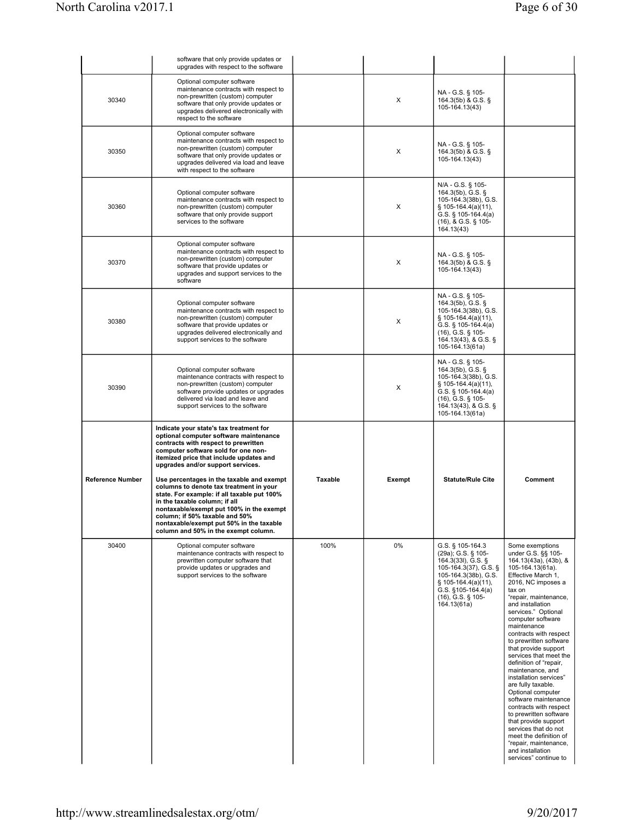|                         | software that only provide updates or<br>upgrades with respect to the software                                                                                                                                                                                                                                                         |         |        |                                                                                                                                                                                         |         |
|-------------------------|----------------------------------------------------------------------------------------------------------------------------------------------------------------------------------------------------------------------------------------------------------------------------------------------------------------------------------------|---------|--------|-----------------------------------------------------------------------------------------------------------------------------------------------------------------------------------------|---------|
| 30340                   | Optional computer software<br>maintenance contracts with respect to<br>non-prewritten (custom) computer<br>software that only provide updates or<br>upgrades delivered electronically with<br>respect to the software                                                                                                                  |         | X      | NA - G.S. § 105-<br>$164.3(5b)$ & G.S. §<br>105-164.13(43)                                                                                                                              |         |
| 30350                   | Optional computer software<br>maintenance contracts with respect to<br>non-prewritten (custom) computer<br>software that only provide updates or<br>upgrades delivered via load and leave<br>with respect to the software                                                                                                              |         | X      | NA - G.S. § 105-<br>164.3(5b) & G.S. §<br>105-164.13(43)                                                                                                                                |         |
| 30360                   | Optional computer software<br>maintenance contracts with respect to<br>non-prewritten (custom) computer<br>software that only provide support<br>services to the software                                                                                                                                                              |         | X      | N/A - G.S. § 105-<br>164.3(5b), G.S. $\S$<br>105-164.3(38b), G.S.<br>$\S$ 105-164.4(a)(11),<br>G.S. $\S$ 105-164.4(a)<br>$(16)$ , & G.S. § 105-<br>164.13(43)                           |         |
| 30370                   | Optional computer software<br>maintenance contracts with respect to<br>non-prewritten (custom) computer<br>software that provide updates or<br>upgrades and support services to the<br>software                                                                                                                                        |         | X      | NA - G.S. § 105-<br>164.3(5b) & G.S. §<br>105-164.13(43)                                                                                                                                |         |
| 30380                   | Optional computer software<br>maintenance contracts with respect to<br>non-prewritten (custom) computer<br>software that provide updates or<br>upgrades delivered electronically and<br>support services to the software                                                                                                               |         | X      | NA - G.S. § 105-<br>$164.3(5b)$ , G.S. §<br>105-164.3(38b), G.S.<br>$\S$ 105-164.4(a)(11),<br>G.S. $\S$ 105-164.4(a)<br>$(16)$ , G.S. § 105-<br>164.13(43), & G.S. §<br>105-164.13(61a) |         |
| 30390                   | Optional computer software<br>maintenance contracts with respect to<br>non-prewritten (custom) computer<br>software provide updates or upgrades<br>delivered via load and leave and<br>support services to the software                                                                                                                |         | X      | NA - G.S. § 105-<br>164.3(5b), G.S. $\S$<br>105-164.3(38b), G.S.<br>$\S$ 105-164.4(a)(11),<br>G.S. $\S$ 105-164.4(a)<br>$(16)$ , G.S. § 105-<br>164.13(43), & G.S. §<br>105-164.13(61a) |         |
|                         | Indicate your state's tax treatment for<br>optional computer software maintenance<br>contracts with respect to prewritten<br>computer software sold for one non-<br>itemized price that include updates and<br>upgrades and/or support services.                                                                                       |         |        |                                                                                                                                                                                         |         |
| <b>Reference Number</b> |                                                                                                                                                                                                                                                                                                                                        |         |        |                                                                                                                                                                                         |         |
|                         | Use percentages in the taxable and exempt<br>columns to denote tax treatment in your<br>state. For example: if all taxable put 100%<br>in the taxable column; if all<br>nontaxable/exempt put 100% in the exempt<br>column; if 50% taxable and 50%<br>nontaxable/exempt put 50% in the taxable<br>column and 50% in the exempt column. | Taxable | Exempt | <b>Statute/Rule Cite</b>                                                                                                                                                                | Comment |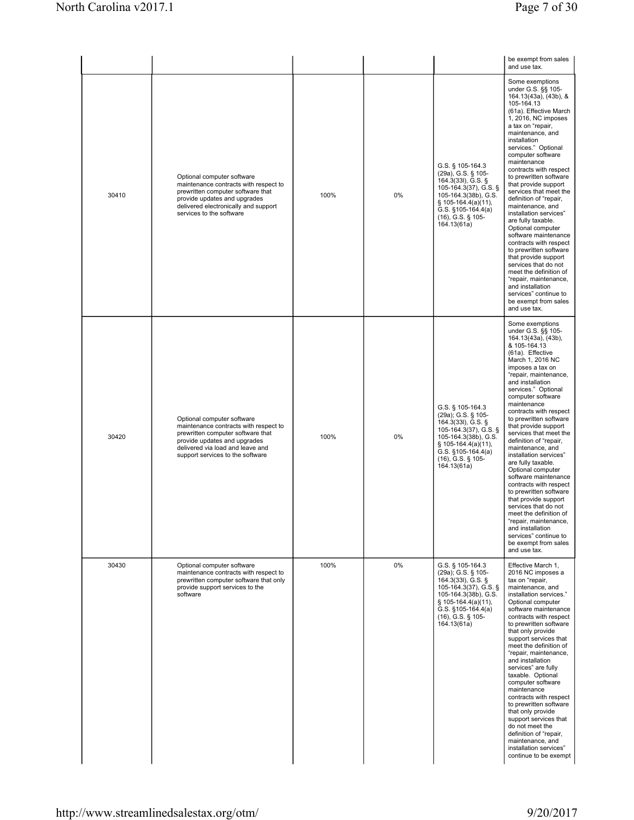|       |                                                                                                                                                                                                                  |      |    |                                                                                                                                                                                                    | be exempt from sales<br>and use tax.                                                                                                                                                                                                                                                                                                                                                                                                                                                                                                                                                                                                                                                                                                           |
|-------|------------------------------------------------------------------------------------------------------------------------------------------------------------------------------------------------------------------|------|----|----------------------------------------------------------------------------------------------------------------------------------------------------------------------------------------------------|------------------------------------------------------------------------------------------------------------------------------------------------------------------------------------------------------------------------------------------------------------------------------------------------------------------------------------------------------------------------------------------------------------------------------------------------------------------------------------------------------------------------------------------------------------------------------------------------------------------------------------------------------------------------------------------------------------------------------------------------|
| 30410 | Optional computer software<br>maintenance contracts with respect to<br>prewritten computer software that<br>provide updates and upgrades<br>delivered electronically and support<br>services to the software     | 100% | 0% | G.S. § 105-164.3<br>(29a), G.S. § 105-<br>164.3(33I), G.S. §<br>105-164.3(37), G.S. §<br>105-164.3(38b), G.S.<br>§ 105-164.4(a)(11),<br>G.S. §105-164.4(a)<br>(16), G.S. § 105-<br>164.13(61a)     | Some exemptions<br>under G.S. §§ 105-<br>164.13(43a), (43b), &<br>105-164.13<br>(61a). Effective March<br>1, 2016, NC imposes<br>a tax on "repair,<br>maintenance, and<br>installation<br>services." Optional<br>computer software<br>maintenance<br>contracts with respect<br>to prewritten software<br>that provide support<br>services that meet the<br>definition of "repair,<br>maintenance, and<br>installation services"<br>are fully taxable.<br>Optional computer<br>software maintenance<br>contracts with respect<br>to prewritten software<br>that provide support<br>services that do not<br>meet the definition of<br>"repair, maintenance,<br>and installation<br>services" continue to<br>be exempt from sales<br>and use tax. |
| 30420 | Optional computer software<br>maintenance contracts with respect to<br>prewritten computer software that<br>provide updates and upgrades<br>delivered via load and leave and<br>support services to the software | 100% | 0% | G.S. § 105-164.3<br>(29a); G.S. § 105-<br>164.3(33I), G.S. §<br>105-164.3(37), G.S. §<br>105-164.3(38b), G.S.<br>§ 105-164.4(a)(11),<br>G.S. $§105-164.4(a)$<br>(16), G.S. § 105-<br>164.13(61a)   | Some exemptions<br>under G.S. §§ 105-<br>164.13(43a), (43b),<br>& 105-164.13<br>(61a). Effective<br>March 1, 2016 NC<br>imposes a tax on<br>"repair, maintenance,<br>and installation<br>services." Optional<br>computer software<br>maintenance<br>contracts with respect<br>to prewritten software<br>that provide support<br>services that meet the<br>definition of "repair,<br>maintenance, and<br>installation services"<br>are fully taxable.<br>Optional computer<br>software maintenance<br>contracts with respect<br>to prewritten software<br>that provide support<br>services that do not<br>meet the definition of<br>"repair, maintenance,<br>and installation<br>services" continue to<br>be exempt from sales<br>and use tax.  |
| 30430 | Optional computer software<br>maintenance contracts with respect to<br>prewritten computer software that only<br>provide support services to the<br>software                                                     | 100% | 0% | G.S. § 105-164.3<br>(29a); G.S. § 105-<br>164.3(33I), G.S. §<br>105-164.3(37), G.S. §<br>105-164.3(38b), G.S.<br>$§ 105-164.4(a)(11),$<br>G.S. $§105-164.4(a)$<br>(16), G.S. § 105-<br>164.13(61a) | Effective March 1.<br>2016 NC imposes a<br>tax on "repair,<br>maintenance, and<br>installation services."<br>Optional computer<br>software maintenance<br>contracts with respect<br>to prewritten software<br>that only provide<br>support services that<br>meet the definition of<br>"repair, maintenance,<br>and installation<br>services" are fully<br>taxable. Optional<br>computer software<br>maintenance<br>contracts with respect<br>to prewritten software<br>that only provide<br>support services that<br>do not meet the<br>definition of "repair,<br>maintenance, and<br>installation services"<br>continue to be exempt                                                                                                          |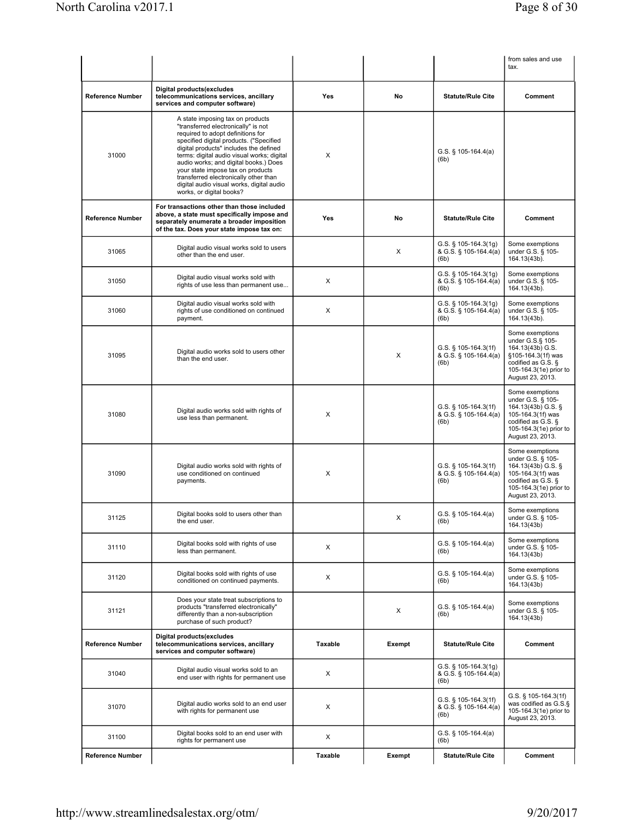|                         |                                                                                                                                                                                                                                                                                                                                                                                                                                                 |                |        |                                                          | from sales and use<br>tax.                                                                                                                          |
|-------------------------|-------------------------------------------------------------------------------------------------------------------------------------------------------------------------------------------------------------------------------------------------------------------------------------------------------------------------------------------------------------------------------------------------------------------------------------------------|----------------|--------|----------------------------------------------------------|-----------------------------------------------------------------------------------------------------------------------------------------------------|
| <b>Reference Number</b> | Digital products(excludes<br>telecommunications services, ancillary<br>services and computer software)                                                                                                                                                                                                                                                                                                                                          | Yes            | No     | <b>Statute/Rule Cite</b>                                 | Comment                                                                                                                                             |
| 31000                   | A state imposing tax on products<br>"transferred electronically" is not<br>required to adopt definitions for<br>specified digital products. ("Specified<br>digital products" includes the defined<br>terms: digital audio visual works; digital<br>audio works; and digital books.) Does<br>your state impose tax on products<br>transferred electronically other than<br>digital audio visual works, digital audio<br>works, or digital books? | X              |        | G.S. $\S$ 105-164.4(a)<br>(6b)                           |                                                                                                                                                     |
| <b>Reference Number</b> | For transactions other than those included<br>above, a state must specifically impose and<br>separately enumerate a broader imposition<br>of the tax. Does your state impose tax on:                                                                                                                                                                                                                                                            | Yes            | No     | <b>Statute/Rule Cite</b>                                 | Comment                                                                                                                                             |
| 31065                   | Digital audio visual works sold to users<br>other than the end user.                                                                                                                                                                                                                                                                                                                                                                            |                | X      | $G.S.$ § 105-164.3(1g)<br>& G.S. § 105-164.4(a)<br>(6b)  | Some exemptions<br>under G.S. § 105-<br>164.13(43b).                                                                                                |
| 31050                   | Digital audio visual works sold with<br>rights of use less than permanent use                                                                                                                                                                                                                                                                                                                                                                   | X              |        | G.S. $\S$ 105-164.3(1g)<br>& G.S. § 105-164.4(a)<br>(6b) | Some exemptions<br>under G.S. § 105-<br>164.13(43b).                                                                                                |
| 31060                   | Digital audio visual works sold with<br>rights of use conditioned on continued<br>payment.                                                                                                                                                                                                                                                                                                                                                      | X              |        | G.S. $\S$ 105-164.3(1g)<br>& G.S. § 105-164.4(a)<br>(6b) | Some exemptions<br>under G.S. § 105-<br>164.13(43b).                                                                                                |
| 31095                   | Digital audio works sold to users other<br>than the end user.                                                                                                                                                                                                                                                                                                                                                                                   |                | X      | G.S. § 105-164.3(1f)<br>& G.S. § 105-164.4(a)<br>(6b)    | Some exemptions<br>under G.S.§ 105-<br>164.13(43b) G.S.<br>§105-164.3(1f) was<br>codified as G.S. §<br>105-164.3(1e) prior to<br>August 23, 2013.   |
| 31080                   | Digital audio works sold with rights of<br>use less than permanent.                                                                                                                                                                                                                                                                                                                                                                             | X              |        | G.S. $\S$ 105-164.3(1f)<br>& G.S. § 105-164.4(a)<br>(6b) | Some exemptions<br>under G.S. § 105-<br>164.13(43b) G.S. §<br>105-164.3(1f) was<br>codified as G.S. §<br>105-164.3(1e) prior to<br>August 23, 2013. |
| 31090                   | Digital audio works sold with rights of<br>use conditioned on continued<br>payments.                                                                                                                                                                                                                                                                                                                                                            | X              |        | G.S. § 105-164.3(1f)<br>& G.S. § 105-164.4(a)<br>(6b)    | Some exemptions<br>under G.S. § 105-<br>164.13(43b) G.S. §<br>105-164.3(1f) was<br>codified as G.S. §<br>105-164.3(1e) prior to<br>August 23, 2013. |
| 31125                   | Digital books sold to users other than<br>the end user.                                                                                                                                                                                                                                                                                                                                                                                         |                | х      | G.S. § 105-164.4(a)<br>(6b)                              | Some exemptions<br>under G.S. § 105-<br>164.13(43b)                                                                                                 |
| 31110                   | Digital books sold with rights of use<br>less than permanent.                                                                                                                                                                                                                                                                                                                                                                                   | X              |        | G.S. $§$ 105-164.4(a)<br>(6b)                            | Some exemptions<br>under G.S. § 105-<br>164.13(43b)                                                                                                 |
| 31120                   | Digital books sold with rights of use<br>conditioned on continued payments.                                                                                                                                                                                                                                                                                                                                                                     | X              |        | $G.S.$ § 105-164.4(a)<br>(6b)                            | Some exemptions<br>under G.S. § 105-<br>164.13(43b)                                                                                                 |
| 31121                   | Does your state treat subscriptions to<br>products "transferred electronically"<br>differently than a non-subscription<br>purchase of such product?                                                                                                                                                                                                                                                                                             |                | X      | G.S. $\S$ 105-164.4(a)<br>(6b)                           | Some exemptions<br>under G.S. § 105-<br>164.13(43b)                                                                                                 |
| <b>Reference Number</b> | Digital products(excludes<br>telecommunications services, ancillary<br>services and computer software)                                                                                                                                                                                                                                                                                                                                          | <b>Taxable</b> | Exempt | <b>Statute/Rule Cite</b>                                 | Comment                                                                                                                                             |
| 31040                   | Digital audio visual works sold to an<br>end user with rights for permanent use                                                                                                                                                                                                                                                                                                                                                                 | X              |        | G.S. $\S$ 105-164.3(1g)<br>& G.S. § 105-164.4(a)<br>(6b) |                                                                                                                                                     |
| 31070                   | Digital audio works sold to an end user<br>with rights for permanent use                                                                                                                                                                                                                                                                                                                                                                        | X              |        | G.S. § 105-164.3(1f)<br>& G.S. § 105-164.4(a)<br>(6b)    | G.S. § 105-164.3(1f)<br>was codified as G.S.§<br>105-164.3(1e) prior to<br>August 23, 2013.                                                         |
| 31100                   | Digital books sold to an end user with<br>rights for permanent use                                                                                                                                                                                                                                                                                                                                                                              | X              |        | $G.S.$ § 105-164.4(a)<br>(6b)                            |                                                                                                                                                     |
| <b>Reference Number</b> |                                                                                                                                                                                                                                                                                                                                                                                                                                                 | Taxable        | Exempt | <b>Statute/Rule Cite</b>                                 | Comment                                                                                                                                             |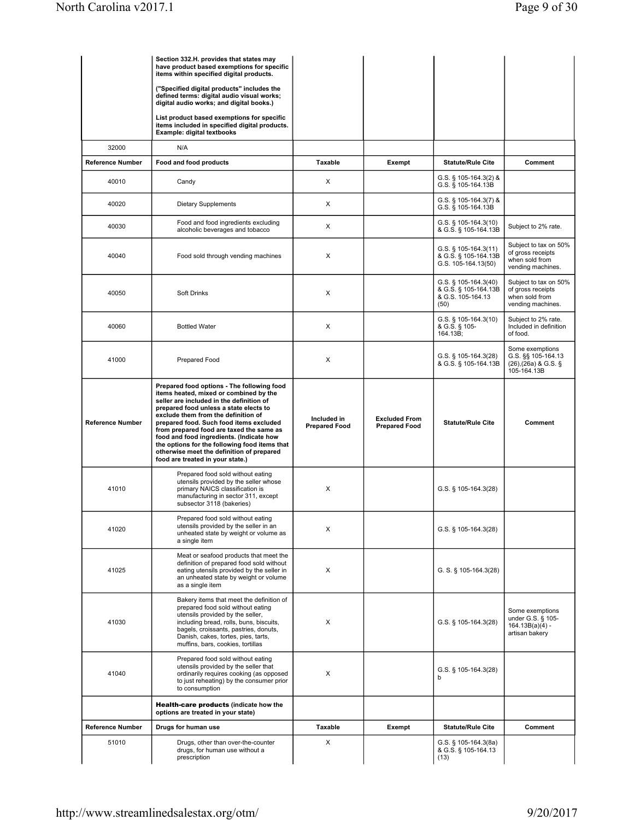|                         | Section 332.H. provides that states may<br>have product based exemptions for specific<br>items within specified digital products.                                                                                                                                                                                                                                                                                                                                                      |                                     |                                              |                                                                              |                                                                                   |
|-------------------------|----------------------------------------------------------------------------------------------------------------------------------------------------------------------------------------------------------------------------------------------------------------------------------------------------------------------------------------------------------------------------------------------------------------------------------------------------------------------------------------|-------------------------------------|----------------------------------------------|------------------------------------------------------------------------------|-----------------------------------------------------------------------------------|
|                         | ("Specified digital products" includes the<br>defined terms: digital audio visual works;<br>digital audio works; and digital books.)                                                                                                                                                                                                                                                                                                                                                   |                                     |                                              |                                                                              |                                                                                   |
|                         | List product based exemptions for specific<br>items included in specified digital products.<br>Example: digital textbooks                                                                                                                                                                                                                                                                                                                                                              |                                     |                                              |                                                                              |                                                                                   |
| 32000                   | N/A                                                                                                                                                                                                                                                                                                                                                                                                                                                                                    |                                     |                                              |                                                                              |                                                                                   |
| <b>Reference Number</b> | Food and food products                                                                                                                                                                                                                                                                                                                                                                                                                                                                 | Taxable                             | Exempt                                       | <b>Statute/Rule Cite</b>                                                     | Comment                                                                           |
| 40010                   | Candy                                                                                                                                                                                                                                                                                                                                                                                                                                                                                  | X                                   |                                              | $G.S.$ § 105-164.3(2) &<br>G.S. § 105-164.13B                                |                                                                                   |
| 40020                   | <b>Dietary Supplements</b>                                                                                                                                                                                                                                                                                                                                                                                                                                                             | X                                   |                                              | G.S. § 105-164.3(7) &<br>G.S. § 105-164.13B                                  |                                                                                   |
| 40030                   | Food and food ingredients excluding<br>alcoholic beverages and tobacco                                                                                                                                                                                                                                                                                                                                                                                                                 | X                                   |                                              | G.S. $\S$ 105-164.3(10)<br>& G.S. § 105-164.13B                              | Subject to 2% rate.                                                               |
| 40040                   | Food sold through vending machines                                                                                                                                                                                                                                                                                                                                                                                                                                                     | X                                   |                                              | $G.S.$ § 105-164.3(11)<br>& G.S. § 105-164.13B<br>G.S. 105-164.13(50)        | Subject to tax on 50%<br>of gross receipts<br>when sold from<br>vending machines. |
| 40050                   | Soft Drinks                                                                                                                                                                                                                                                                                                                                                                                                                                                                            | X                                   |                                              | G.S. $\S$ 105-164.3(40)<br>& G.S. § 105-164.13B<br>& G.S. 105-164.13<br>(50) | Subject to tax on 50%<br>of gross receipts<br>when sold from<br>vending machines. |
| 40060                   | <b>Bottled Water</b>                                                                                                                                                                                                                                                                                                                                                                                                                                                                   | X                                   |                                              | G.S. § 105-164.3(10)<br>& G.S. § 105-<br>164.13B;                            | Subject to 2% rate.<br>Included in definition<br>of food.                         |
| 41000                   | Prepared Food                                                                                                                                                                                                                                                                                                                                                                                                                                                                          | X                                   |                                              | G.S. $\S$ 105-164.3(28)<br>& G.S. § 105-164.13B                              | Some exemptions<br>G.S. §§ 105-164.13<br>$(26),(26a)$ & G.S. §<br>105-164.13B     |
| <b>Reference Number</b> | Prepared food options - The following food<br>items heated, mixed or combined by the<br>seller are included in the definition of<br>prepared food unless a state elects to<br>exclude them from the definition of<br>prepared food. Such food items excluded<br>from prepared food are taxed the same as<br>food and food ingredients. (Indicate how<br>the options for the following food items that<br>otherwise meet the definition of prepared<br>food are treated in your state.) | Included in<br><b>Prepared Food</b> | <b>Excluded From</b><br><b>Prepared Food</b> | <b>Statute/Rule Cite</b>                                                     | Comment                                                                           |
| 41010                   | Prepared food sold without eating<br>utensils provided by the seller whose<br>primary NAICS classification is<br>manufacturing in sector 311, except<br>subsector 3118 (bakeries)                                                                                                                                                                                                                                                                                                      | X                                   |                                              | G.S. § 105-164.3(28)                                                         |                                                                                   |
| 41020                   | Prepared food sold without eating<br>utensils provided by the seller in an<br>unheated state by weight or volume as<br>a single item                                                                                                                                                                                                                                                                                                                                                   | X                                   |                                              | G.S. § 105-164.3(28)                                                         |                                                                                   |
| 41025                   | Meat or seafood products that meet the<br>definition of prepared food sold without<br>eating utensils provided by the seller in<br>an unheated state by weight or volume<br>as a single item                                                                                                                                                                                                                                                                                           | X                                   |                                              | G. S. § 105-164.3(28)                                                        |                                                                                   |
| 41030                   | Bakery items that meet the definition of<br>prepared food sold without eating<br>utensils provided by the seller,<br>including bread, rolls, buns, biscuits,<br>bagels, croissants, pastries, donuts,<br>Danish, cakes, tortes, pies, tarts,<br>muffins, bars, cookies, tortillas                                                                                                                                                                                                      | X                                   |                                              | G.S. § 105-164.3(28)                                                         | Some exemptions<br>under G.S. § 105-<br>$164.13B(a)(4) -$<br>artisan bakery       |
| 41040                   | Prepared food sold without eating<br>utensils provided by the seller that<br>ordinarily requires cooking (as opposed<br>to just reheating) by the consumer prior<br>to consumption                                                                                                                                                                                                                                                                                                     | X                                   |                                              | G.S. $\S$ 105-164.3(28)<br>b                                                 |                                                                                   |
|                         | <b>Health-care products (indicate how the</b><br>options are treated in your state)                                                                                                                                                                                                                                                                                                                                                                                                    |                                     |                                              |                                                                              |                                                                                   |
| <b>Reference Number</b> | Drugs for human use                                                                                                                                                                                                                                                                                                                                                                                                                                                                    | Taxable                             | Exempt                                       | <b>Statute/Rule Cite</b>                                                     | Comment                                                                           |
| 51010                   | Drugs, other than over-the-counter<br>drugs, for human use without a<br>prescription                                                                                                                                                                                                                                                                                                                                                                                                   | X                                   |                                              | G.S. $\S$ 105-164.3(8a)<br>& G.S. § 105-164.13<br>(13)                       |                                                                                   |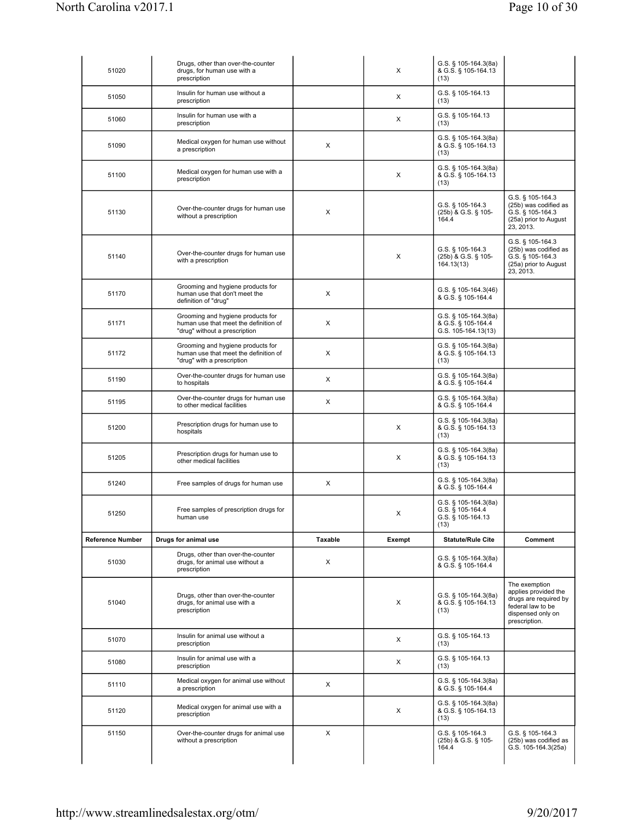| 51020                   | Drugs, other than over-the-counter<br>drugs, for human use with a<br>prescription                           |         | X      | G.S. § 105-164.3(8a)<br>& G.S. § 105-164.13<br>(13)                   |                                                                                                                           |
|-------------------------|-------------------------------------------------------------------------------------------------------------|---------|--------|-----------------------------------------------------------------------|---------------------------------------------------------------------------------------------------------------------------|
| 51050                   | Insulin for human use without a<br>prescription                                                             |         | X      | G.S. § 105-164.13<br>(13)                                             |                                                                                                                           |
| 51060                   | Insulin for human use with a<br>prescription                                                                |         | X      | G.S. § 105-164.13<br>(13)                                             |                                                                                                                           |
| 51090                   | Medical oxygen for human use without<br>a prescription                                                      | X       |        | G.S. § 105-164.3(8a)<br>& G.S. § 105-164.13<br>(13)                   |                                                                                                                           |
| 51100                   | Medical oxygen for human use with a<br>prescription                                                         |         | X      | $G.S.$ § 105-164.3(8a)<br>& G.S. § 105-164.13<br>(13)                 |                                                                                                                           |
| 51130                   | Over-the-counter drugs for human use<br>without a prescription                                              | X       |        | G.S. § 105-164.3<br>(25b) & G.S. § 105-<br>164.4                      | G.S. § 105-164.3<br>(25b) was codified as<br>G.S. § 105-164.3<br>(25a) prior to August<br>23, 2013.                       |
| 51140                   | Over-the-counter drugs for human use<br>with a prescription                                                 |         | X      | G.S. § 105-164.3<br>(25b) & G.S. § 105-<br>164.13(13)                 | G.S. § 105-164.3<br>(25b) was codified as<br>G.S. § 105-164.3<br>(25a) prior to August<br>23, 2013.                       |
| 51170                   | Grooming and hygiene products for<br>human use that don't meet the<br>definition of "drug"                  | X       |        | G.S. $\S$ 105-164.3(46)<br>& G.S. § 105-164.4                         |                                                                                                                           |
| 51171                   | Grooming and hygiene products for<br>human use that meet the definition of<br>"drug" without a prescription | X       |        | G.S. § 105-164.3(8a)<br>& G.S. § 105-164.4<br>G.S. 105-164.13(13)     |                                                                                                                           |
| 51172                   | Grooming and hygiene products for<br>human use that meet the definition of<br>"drug" with a prescription    | X       |        | $G.S.$ § 105-164.3(8a)<br>& G.S. § 105-164.13<br>(13)                 |                                                                                                                           |
| 51190                   | Over-the-counter drugs for human use<br>to hospitals                                                        | X       |        | G.S. § 105-164.3(8a)<br>& G.S. § 105-164.4                            |                                                                                                                           |
| 51195                   | Over-the-counter drugs for human use<br>to other medical facilities                                         | X       |        | G.S. $\S$ 105-164.3(8a)<br>& G.S. § 105-164.4                         |                                                                                                                           |
| 51200                   | Prescription drugs for human use to<br>hospitals                                                            |         | X      | $G.S.$ § 105-164.3(8a)<br>& G.S. § 105-164.13<br>(13)                 |                                                                                                                           |
| 51205                   | Prescription drugs for human use to<br>other medical facilities                                             |         | X      | $G.S.$ § 105-164.3(8a)<br>& G.S. § 105-164.13<br>(13)                 |                                                                                                                           |
| 51240                   | Free samples of drugs for human use                                                                         | X       |        | $G.S.$ § 105-164.3(8a)<br>& G.S. § 105-164.4                          |                                                                                                                           |
| 51250                   | Free samples of prescription drugs for<br>human use                                                         |         | X      | G.S. § 105-164.3(8a)<br>G.S. § 105-164.4<br>G.S. § 105-164.13<br>(13) |                                                                                                                           |
| <b>Reference Number</b> | Drugs for animal use                                                                                        | Taxable | Exempt | <b>Statute/Rule Cite</b>                                              | Comment                                                                                                                   |
| 51030                   | Drugs, other than over-the-counter<br>drugs, for animal use without a<br>prescription                       | X       |        | G.S. $\S$ 105-164.3(8a)<br>& G.S. § 105-164.4                         |                                                                                                                           |
| 51040                   | Drugs, other than over-the-counter<br>drugs, for animal use with a<br>prescription                          |         | X      | G.S. § 105-164.3(8a)<br>& G.S. § 105-164.13<br>(13)                   | The exemption<br>applies provided the<br>drugs are required by<br>federal law to be<br>dispensed only on<br>prescription. |
| 51070                   | Insulin for animal use without a<br>prescription                                                            |         | X      | G.S. § 105-164.13<br>(13)                                             |                                                                                                                           |
| 51080                   | Insulin for animal use with a<br>prescription                                                               |         | X      | G.S. § 105-164.13<br>(13)                                             |                                                                                                                           |
| 51110                   | Medical oxygen for animal use without<br>a prescription                                                     | X       |        | G.S. $\S$ 105-164.3(8a)<br>& G.S. § 105-164.4                         |                                                                                                                           |
| 51120                   | Medical oxygen for animal use with a<br>prescription                                                        |         | X      | G.S. $\S$ 105-164.3(8a)<br>& G.S. § 105-164.13<br>(13)                |                                                                                                                           |
| 51150                   | Over-the-counter drugs for animal use<br>without a prescription                                             | X       |        | G.S. § 105-164.3<br>(25b) & G.S. § 105-<br>164.4                      | G.S. § 105-164.3<br>(25b) was codified as<br>G.S. 105-164.3(25a)                                                          |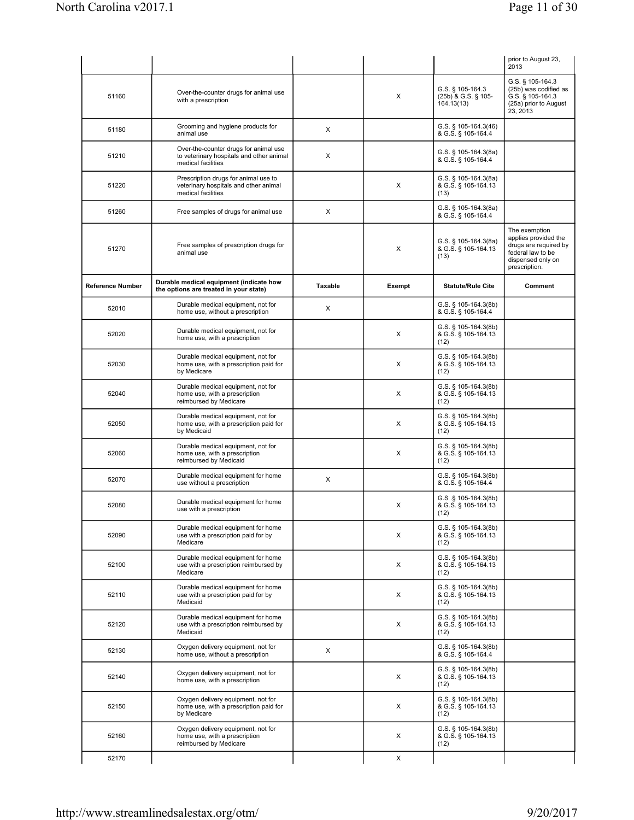|                         |                                                                                                         |         |        |                                                        | prior to August 23,<br>2013                                                                                               |
|-------------------------|---------------------------------------------------------------------------------------------------------|---------|--------|--------------------------------------------------------|---------------------------------------------------------------------------------------------------------------------------|
| 51160                   | Over-the-counter drugs for animal use<br>with a prescription                                            |         | X      | G.S. § 105-164.3<br>(25b) & G.S. § 105-<br>164.13(13)  | G.S. § 105-164.3<br>(25b) was codified as<br>G.S. § 105-164.3<br>(25a) prior to August<br>23, 2013                        |
| 51180                   | Grooming and hygiene products for<br>animal use                                                         | X       |        | G.S. $\S$ 105-164.3(46)<br>& G.S. § 105-164.4          |                                                                                                                           |
| 51210                   | Over-the-counter drugs for animal use<br>to veterinary hospitals and other animal<br>medical facilities | X       |        | G.S. § 105-164.3(8a)<br>& G.S. § 105-164.4             |                                                                                                                           |
| 51220                   | Prescription drugs for animal use to<br>veterinary hospitals and other animal<br>medical facilities     |         | X      | G.S. § 105-164.3(8a)<br>& G.S. § 105-164.13<br>(13)    |                                                                                                                           |
| 51260                   | Free samples of drugs for animal use                                                                    | X       |        | G.S. § 105-164.3(8a)<br>& G.S. § 105-164.4             |                                                                                                                           |
| 51270                   | Free samples of prescription drugs for<br>animal use                                                    |         | X      | G.S. $\S$ 105-164.3(8a)<br>& G.S. § 105-164.13<br>(13) | The exemption<br>applies provided the<br>drugs are required by<br>federal law to be<br>dispensed only on<br>prescription. |
| <b>Reference Number</b> | Durable medical equipment (indicate how<br>the options are treated in your state)                       | Taxable | Exempt | <b>Statute/Rule Cite</b>                               | Comment                                                                                                                   |
| 52010                   | Durable medical equipment, not for<br>home use, without a prescription                                  | X       |        | G.S. § 105-164.3(8b)<br>& G.S. § 105-164.4             |                                                                                                                           |
| 52020                   | Durable medical equipment, not for<br>home use, with a prescription                                     |         | х      | G.S. § 105-164.3(8b)<br>& G.S. § 105-164.13<br>(12)    |                                                                                                                           |
| 52030                   | Durable medical equipment, not for<br>home use, with a prescription paid for<br>by Medicare             |         | X      | $G.S.$ § 105-164.3(8b)<br>& G.S. § 105-164.13<br>(12)  |                                                                                                                           |
| 52040                   | Durable medical equipment, not for<br>home use, with a prescription<br>reimbursed by Medicare           |         | X      | G.S. § 105-164.3(8b)<br>& G.S. § 105-164.13<br>(12)    |                                                                                                                           |
| 52050                   | Durable medical equipment, not for<br>home use, with a prescription paid for<br>by Medicaid             |         | X      | G.S. § 105-164.3(8b)<br>& G.S. § 105-164.13<br>(12)    |                                                                                                                           |
| 52060                   | Durable medical equipment, not for<br>home use, with a prescription<br>reimbursed by Medicaid           |         | X      | G.S. $\S$ 105-164.3(8b)<br>& G.S. § 105-164.13<br>(12) |                                                                                                                           |
| 52070                   | Durable medical equipment for home<br>use without a prescription                                        | X       |        | G.S. § 105-164.3(8b)<br>& G.S. § 105-164.4             |                                                                                                                           |
| 52080                   | Durable medical equipment for home<br>use with a prescription                                           |         | X      | $G.S.S.$ 105-164.3(8b)<br>& G.S. § 105-164.13<br>(12)  |                                                                                                                           |
| 52090                   | Durable medical equipment for home<br>use with a prescription paid for by<br>Medicare                   |         | X      | G.S. § 105-164.3(8b)<br>& G.S. § 105-164.13<br>(12)    |                                                                                                                           |
| 52100                   | Durable medical equipment for home<br>use with a prescription reimbursed by<br>Medicare                 |         | X      | G.S. § 105-164.3(8b)<br>& G.S. § 105-164.13<br>(12)    |                                                                                                                           |
| 52110                   | Durable medical equipment for home<br>use with a prescription paid for by<br>Medicaid                   |         | X      | G.S. § 105-164.3(8b)<br>& G.S. § 105-164.13<br>(12)    |                                                                                                                           |
| 52120                   | Durable medical equipment for home<br>use with a prescription reimbursed by<br>Medicaid                 |         | X      | G.S. § 105-164.3(8b)<br>& G.S. § 105-164.13<br>(12)    |                                                                                                                           |
| 52130                   | Oxygen delivery equipment, not for<br>home use, without a prescription                                  | X       |        | G.S. § 105-164.3(8b)<br>& G.S. § 105-164.4             |                                                                                                                           |
| 52140                   | Oxygen delivery equipment, not for<br>home use, with a prescription                                     |         | X      | G.S. § 105-164.3(8b)<br>& G.S. § 105-164.13<br>(12)    |                                                                                                                           |
| 52150                   | Oxygen delivery equipment, not for<br>home use, with a prescription paid for<br>by Medicare             |         | X      | G.S. § 105-164.3(8b)<br>& G.S. § 105-164.13<br>(12)    |                                                                                                                           |
| 52160                   | Oxygen delivery equipment, not for<br>home use, with a prescription<br>reimbursed by Medicare           |         | X      | G.S. § 105-164.3(8b)<br>& G.S. § 105-164.13<br>(12)    |                                                                                                                           |
| 52170                   |                                                                                                         |         | X      |                                                        |                                                                                                                           |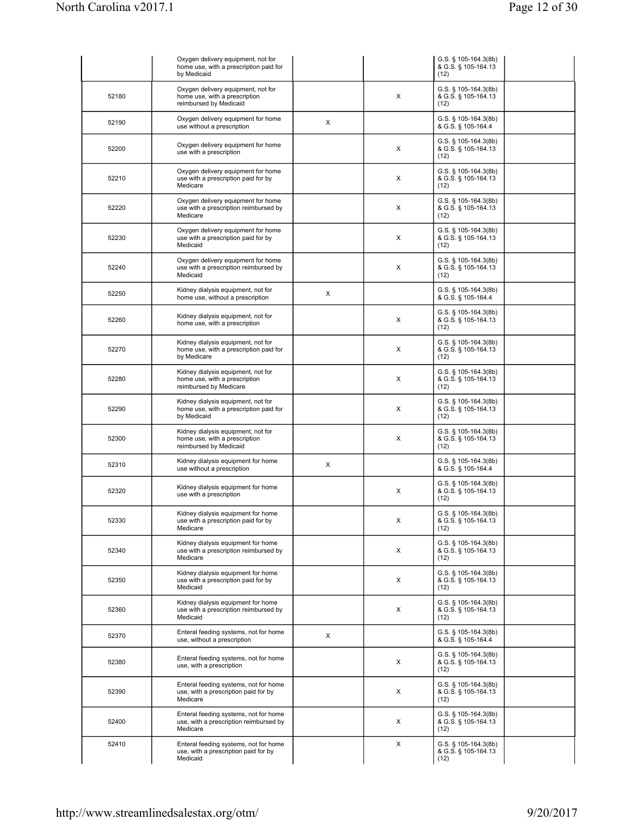|       | Oxygen delivery equipment, not for<br>home use, with a prescription paid for<br>by Medicaid   |   |   | G.S. § 105-164.3(8b)<br>& G.S. § 105-164.13<br>(12)    |  |
|-------|-----------------------------------------------------------------------------------------------|---|---|--------------------------------------------------------|--|
| 52180 | Oxygen delivery equipment, not for<br>home use, with a prescription<br>reimbursed by Medicaid |   | X | G.S. § 105-164.3(8b)<br>& G.S. § 105-164.13<br>(12)    |  |
| 52190 | Oxygen delivery equipment for home<br>use without a prescription                              | X |   | G.S. § 105-164.3(8b)<br>& G.S. § 105-164.4             |  |
| 52200 | Oxygen delivery equipment for home<br>use with a prescription                                 |   | X | G.S. § 105-164.3(8b)<br>& G.S. § 105-164.13<br>(12)    |  |
| 52210 | Oxygen delivery equipment for home<br>use with a prescription paid for by<br>Medicare         |   | X | G.S. § 105-164.3(8b)<br>& G.S. § 105-164.13<br>(12)    |  |
| 52220 | Oxygen delivery equipment for home<br>use with a prescription reimbursed by<br>Medicare       |   | X | G.S. § 105-164.3(8b)<br>& G.S. § 105-164.13<br>(12)    |  |
| 52230 | Oxygen delivery equipment for home<br>use with a prescription paid for by<br>Medicaid         |   | X | G.S. § 105-164.3(8b)<br>& G.S. § 105-164.13<br>(12)    |  |
| 52240 | Oxygen delivery equipment for home<br>use with a prescription reimbursed by<br>Medicaid       |   | х | G.S. $\S$ 105-164.3(8b)<br>& G.S. § 105-164.13<br>(12) |  |
| 52250 | Kidney dialysis equipment, not for<br>home use, without a prescription                        | X |   | G.S. § 105-164.3(8b)<br>& G.S. § 105-164.4             |  |
| 52260 | Kidney dialysis equipment, not for<br>home use, with a prescription                           |   | X | G.S. § 105-164.3(8b)<br>& G.S. § 105-164.13<br>(12)    |  |
| 52270 | Kidney dialysis equipment, not for<br>home use, with a prescription paid for<br>by Medicare   |   | X | G.S. § 105-164.3(8b)<br>& G.S. § 105-164.13<br>(12)    |  |
| 52280 | Kidney dialysis equipment, not for<br>home use, with a prescription<br>reimbursed by Medicare |   | X | G.S. $\S$ 105-164.3(8b)<br>& G.S. § 105-164.13<br>(12) |  |
| 52290 | Kidney dialysis equipment, not for<br>home use, with a prescription paid for<br>by Medicaid   |   | X | G.S. § 105-164.3(8b)<br>& G.S. § 105-164.13<br>(12)    |  |
| 52300 | Kidney dialysis equipment, not for<br>home use, with a prescription<br>reimbursed by Medicaid |   | X | G.S. § 105-164.3(8b)<br>& G.S. § 105-164.13<br>(12)    |  |
| 52310 | Kidney dialysis equipment for home<br>use without a prescription                              | X |   | G.S. § 105-164.3(8b)<br>& G.S. § 105-164.4             |  |
| 52320 | Kidney dialysis equipment for home<br>use with a prescription                                 |   | X | $G.S.$ § 105-164.3(8b)<br>& G.S. § 105-164.13<br>(12)  |  |
| 52330 | Kidney dialysis equipment for home<br>use with a prescription paid for by<br>Medicare         |   | X | G.S. § 105-164.3(8b)<br>& G.S. § 105-164.13<br>(12)    |  |
| 52340 | Kidney dialysis equipment for home<br>use with a prescription reimbursed by<br>Medicare       |   | X | G.S. § 105-164.3(8b)<br>& G.S. § 105-164.13<br>(12)    |  |
| 52350 | Kidney dialysis equipment for home<br>use with a prescription paid for by<br>Medicaid         |   | X | G.S. § 105-164.3(8b)<br>& G.S. § 105-164.13<br>(12)    |  |
| 52360 | Kidney dialysis equipment for home<br>use with a prescription reimbursed by<br>Medicaid       |   | X | G.S. § 105-164.3(8b)<br>& G.S. § 105-164.13<br>(12)    |  |
| 52370 | Enteral feeding systems, not for home<br>use, without a prescription                          | X |   | G.S. § 105-164.3(8b)<br>& G.S. § 105-164.4             |  |
| 52380 | Enteral feeding systems, not for home<br>use, with a prescription                             |   | X | G.S. § 105-164.3(8b)<br>& G.S. § 105-164.13<br>(12)    |  |
| 52390 | Enteral feeding systems, not for home<br>use, with a prescription paid for by<br>Medicare     |   | X | G.S. § 105-164.3(8b)<br>& G.S. § 105-164.13<br>(12)    |  |
| 52400 | Enteral feeding systems, not for home<br>use, with a prescription reimbursed by<br>Medicare   |   | X | G.S. § 105-164.3(8b)<br>& G.S. § 105-164.13<br>(12)    |  |
| 52410 | Enteral feeding systems, not for home<br>use, with a prescription paid for by<br>Medicaid     |   | X | G.S. § 105-164.3(8b)<br>& G.S. § 105-164.13<br>(12)    |  |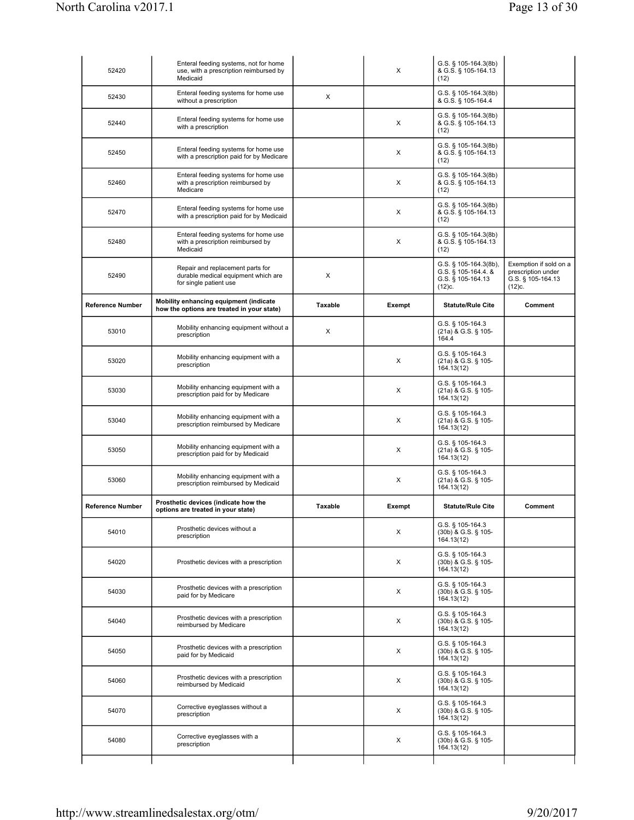| 52420                   | Enteral feeding systems, not for home<br>use, with a prescription reimbursed by<br>Medicaid       |         | X      | G.S. § 105-164.3(8b)<br>& G.S. § 105-164.13<br>(12)                         |                                                                             |
|-------------------------|---------------------------------------------------------------------------------------------------|---------|--------|-----------------------------------------------------------------------------|-----------------------------------------------------------------------------|
| 52430                   | Enteral feeding systems for home use<br>without a prescription                                    | X       |        | G.S. § 105-164.3(8b)<br>& G.S. § 105-164.4                                  |                                                                             |
| 52440                   | Enteral feeding systems for home use<br>with a prescription                                       |         | X      | G.S. § 105-164.3(8b)<br>& G.S. § 105-164.13<br>(12)                         |                                                                             |
| 52450                   | Enteral feeding systems for home use<br>with a prescription paid for by Medicare                  |         | X      | G.S. § 105-164.3(8b)<br>& G.S. § 105-164.13<br>(12)                         |                                                                             |
| 52460                   | Enteral feeding systems for home use<br>with a prescription reimbursed by<br>Medicare             |         | X      | G.S. § 105-164.3(8b)<br>& G.S. § 105-164.13<br>(12)                         |                                                                             |
| 52470                   | Enteral feeding systems for home use<br>with a prescription paid for by Medicaid                  |         | X      | G.S. § 105-164.3(8b)<br>& G.S. § 105-164.13<br>(12)                         |                                                                             |
| 52480                   | Enteral feeding systems for home use<br>with a prescription reimbursed by<br>Medicaid             |         | X      | G.S. § 105-164.3(8b)<br>& G.S. § 105-164.13<br>(12)                         |                                                                             |
| 52490                   | Repair and replacement parts for<br>durable medical equipment which are<br>for single patient use | X       |        | G.S. § 105-164.3(8b),<br>G.S. § 105-164.4. &<br>G.S. § 105-164.13<br>(12)c. | Exemption if sold on a<br>prescription under<br>G.S. § 105-164.13<br>(12)c. |
| <b>Reference Number</b> | Mobility enhancing equipment (indicate<br>how the options are treated in your state)              | Taxable | Exempt | <b>Statute/Rule Cite</b>                                                    | Comment                                                                     |
| 53010                   | Mobility enhancing equipment without a<br>prescription                                            | X       |        | G.S. § 105-164.3<br>(21a) & G.S. § 105-<br>164.4                            |                                                                             |
| 53020                   | Mobility enhancing equipment with a<br>prescription                                               |         | X      | G.S. § 105-164.3<br>(21a) & G.S. § 105-<br>164.13(12)                       |                                                                             |
| 53030                   | Mobility enhancing equipment with a<br>prescription paid for by Medicare                          |         | X      | G.S. § 105-164.3<br>(21a) & G.S. § 105-<br>164.13(12)                       |                                                                             |
| 53040                   | Mobility enhancing equipment with a<br>prescription reimbursed by Medicare                        |         | X      | G.S. § 105-164.3<br>(21a) & G.S. § 105-<br>164.13(12)                       |                                                                             |
| 53050                   | Mobility enhancing equipment with a<br>prescription paid for by Medicaid                          |         | X      | G.S. § 105-164.3<br>(21a) & G.S. § 105-<br>164.13(12)                       |                                                                             |
| 53060                   | Mobility enhancing equipment with a<br>prescription reimbursed by Medicaid                        |         | X      | G.S. § 105-164.3<br>(21a) & G.S. § 105-<br>164.13(12)                       |                                                                             |
| <b>Reference Number</b> | Prosthetic devices (indicate how the<br>options are treated in your state)                        | Taxable | Exempt | <b>Statute/Rule Cite</b>                                                    | Comment                                                                     |
| 54010                   | Prosthetic devices without a<br>prescription                                                      |         | X      | G.S. § 105-164.3<br>(30b) & G.S. § 105-<br>164.13(12)                       |                                                                             |
| 54020                   | Prosthetic devices with a prescription                                                            |         | X      | G.S. § 105-164.3<br>(30b) & G.S. § 105-<br>164.13(12)                       |                                                                             |
| 54030                   | Prosthetic devices with a prescription<br>paid for by Medicare                                    |         | X      | G.S. § 105-164.3<br>(30b) & G.S. § 105-<br>164.13(12)                       |                                                                             |
| 54040                   | Prosthetic devices with a prescription<br>reimbursed by Medicare                                  |         | X      | G.S. § 105-164.3<br>(30b) & G.S. § 105-<br>164.13(12)                       |                                                                             |
| 54050                   | Prosthetic devices with a prescription<br>paid for by Medicaid                                    |         | Х      | G.S. § 105-164.3<br>(30b) & G.S. § 105-<br>164.13(12)                       |                                                                             |
| 54060                   | Prosthetic devices with a prescription<br>reimbursed by Medicaid                                  |         | X      | G.S. § 105-164.3<br>(30b) & G.S. § 105-<br>164.13(12)                       |                                                                             |
| 54070                   | Corrective eyeglasses without a<br>prescription                                                   |         | X      | G.S. § 105-164.3<br>(30b) & G.S. § 105-<br>164.13(12)                       |                                                                             |
| 54080                   | Corrective eyeglasses with a<br>prescription                                                      |         | X      | G.S. § 105-164.3<br>(30b) & G.S. § 105-<br>164.13(12)                       |                                                                             |
|                         |                                                                                                   |         |        |                                                                             |                                                                             |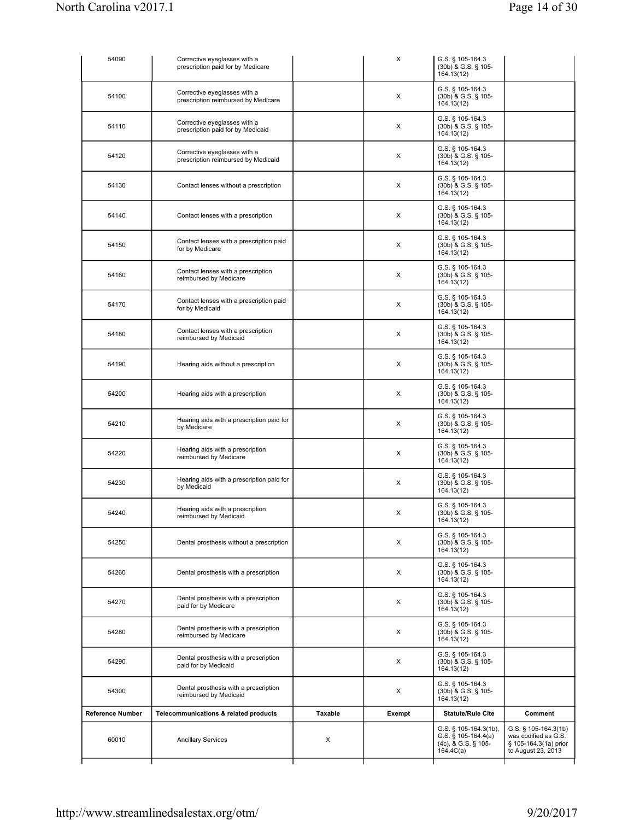| 60010                   | <b>Ancillary Services</b>                                           | X       |        | G.S. $\S$ 105-164.4(a)<br>(4c), & G.S. § 105-<br>164.4C(a) | was codified as G.S.<br>§ 105-164.3(1a) prior<br>to August 23, 2013 |
|-------------------------|---------------------------------------------------------------------|---------|--------|------------------------------------------------------------|---------------------------------------------------------------------|
| <b>Reference Number</b> | Telecommunications & related products                               | Taxable | Exempt | <b>Statute/Rule Cite</b><br>G.S. $\S$ 105-164.3(1b),       | Comment<br>G.S. § 105-164.3(1b)                                     |
| 54300                   | Dental prosthesis with a prescription<br>reimbursed by Medicaid     |         | Х      | G.S. § 105-164.3<br>(30b) & G.S. § 105-<br>164.13(12)      |                                                                     |
| 54290                   | Dental prosthesis with a prescription<br>paid for by Medicaid       |         | Х      | G.S. § 105-164.3<br>(30b) & G.S. § 105-<br>164.13(12)      |                                                                     |
| 54280                   | Dental prosthesis with a prescription<br>reimbursed by Medicare     |         | X      | G.S. § 105-164.3<br>(30b) & G.S. § 105-<br>164.13(12)      |                                                                     |
| 54270                   | Dental prosthesis with a prescription<br>paid for by Medicare       |         | X      | G.S. § 105-164.3<br>(30b) & G.S. § 105-<br>164.13(12)      |                                                                     |
| 54260                   | Dental prosthesis with a prescription                               |         | X      | G.S. § 105-164.3<br>(30b) & G.S. § 105-<br>164.13(12)      |                                                                     |
| 54250                   | Dental prosthesis without a prescription                            |         | X      | G.S. § 105-164.3<br>(30b) & G.S. § 105-<br>164.13(12)      |                                                                     |
| 54240                   | Hearing aids with a prescription<br>reimbursed by Medicaid.         |         | X      | G.S. § 105-164.3<br>(30b) & G.S. § 105-<br>164.13(12)      |                                                                     |
| 54230                   | Hearing aids with a prescription paid for<br>by Medicaid            |         | X      | G.S. § 105-164.3<br>(30b) & G.S. § 105-<br>164.13(12)      |                                                                     |
| 54220                   | Hearing aids with a prescription<br>reimbursed by Medicare          |         | Х      | G.S. § 105-164.3<br>(30b) & G.S. § 105-<br>164.13(12)      |                                                                     |
| 54210                   | Hearing aids with a prescription paid for<br>by Medicare            |         | X      | G.S. § 105-164.3<br>(30b) & G.S. § 105-<br>164.13(12)      |                                                                     |
| 54200                   | Hearing aids with a prescription                                    |         | X      | G.S. § 105-164.3<br>(30b) & G.S. § 105-<br>164.13(12)      |                                                                     |
| 54190                   | Hearing aids without a prescription                                 |         | X      | G.S. § 105-164.3<br>(30b) & G.S. § 105-<br>164.13(12)      |                                                                     |
| 54180                   | Contact lenses with a prescription<br>reimbursed by Medicaid        |         | X      | G.S. § 105-164.3<br>(30b) & G.S. § 105-<br>164.13(12)      |                                                                     |
| 54170                   | Contact lenses with a prescription paid<br>for by Medicaid          |         | X      | G.S. § 105-164.3<br>(30b) & G.S. § 105-<br>164.13(12)      |                                                                     |
| 54160                   | Contact lenses with a prescription<br>reimbursed by Medicare        |         | X      | G.S. § 105-164.3<br>(30b) & G.S. § 105-<br>164.13(12)      |                                                                     |
| 54150                   | Contact lenses with a prescription paid<br>for by Medicare          |         | X      | G.S. § 105-164.3<br>(30b) & G.S. § 105-<br>164.13(12)      |                                                                     |
| 54140                   | Contact lenses with a prescription                                  |         | X      | G.S. § 105-164.3<br>(30b) & G.S. § 105-<br>164.13(12)      |                                                                     |
| 54130                   | Contact lenses without a prescription                               |         | X      | G.S. § 105-164.3<br>(30b) & G.S. § 105-<br>164.13(12)      |                                                                     |
| 54120                   | Corrective eyeglasses with a<br>prescription reimbursed by Medicaid |         | X      | G.S. § 105-164.3<br>(30b) & G.S. § 105-<br>164.13(12)      |                                                                     |
| 54110                   | Corrective eyeglasses with a<br>prescription paid for by Medicaid   |         | X      | G.S. § 105-164.3<br>(30b) & G.S. § 105-<br>164.13(12)      |                                                                     |
| 54100                   | Corrective eyeglasses with a<br>prescription reimbursed by Medicare |         | X      | G.S. § 105-164.3<br>(30b) & G.S. § 105-<br>164.13(12)      |                                                                     |
| 54090                   | Corrective eyeglasses with a<br>prescription paid for by Medicare   |         | X      | G.S. § 105-164.3<br>(30b) & G.S. § 105-<br>164.13(12)      |                                                                     |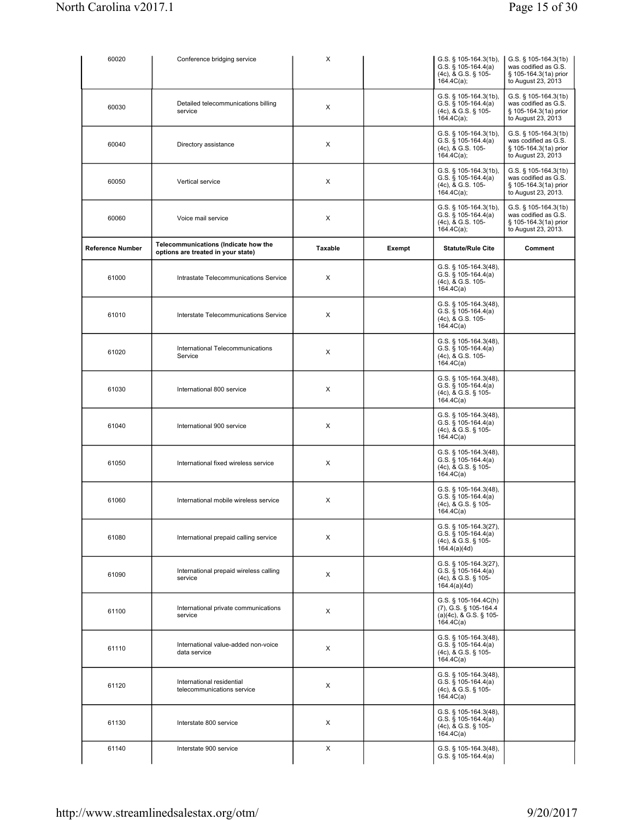| 60020            | Conference bridging service                                                | X       |        | G.S. § 105-164.3(1b),<br>$G.S.$ § 105-164.4(a)<br>(4c), & G.S. § 105-<br>164.4C(a);    | $G.S.$ § 105-164.3(1b)<br>was codified as G.S.<br>§ 105-164.3(1a) prior<br>to August 23, 2013   |
|------------------|----------------------------------------------------------------------------|---------|--------|----------------------------------------------------------------------------------------|-------------------------------------------------------------------------------------------------|
| 60030            | Detailed telecommunications billing<br>service                             | X       |        | G.S. § 105-164.3(1b),<br>G.S. $§ 105-164.4(a)$<br>(4c), & G.S. § 105-<br>164.4C(a);    | G.S. § 105-164.3(1b)<br>was codified as G.S.<br>§ 105-164.3(1a) prior<br>to August 23, 2013     |
| 60040            | Directory assistance                                                       | X       |        | G.S. § 105-164.3(1b),<br>G.S. $§ 105-164.4(a)$<br>(4c), & G.S. 105-<br>164.4C(a);      | $G.S.$ § 105-164.3(1b)<br>was codified as G.S.<br>§ 105-164.3(1a) prior<br>to August 23, 2013   |
| 60050            | Vertical service                                                           | х       |        | G.S. § 105-164.3(1b),<br>$G.S.$ § 105-164.4(a)<br>(4c), & G.S. 105-<br>164.4C(a);      | G.S. $\S$ 105-164.3(1b)<br>was codified as G.S.<br>§ 105-164.3(1a) prior<br>to August 23, 2013. |
| 60060            | Voice mail service                                                         | х       |        | G.S. § 105-164.3(1b),<br>G.S. § 105-164.4(a)<br>(4c), & G.S. 105-<br>164.4C(a);        | $G.S.$ § 105-164.3(1b)<br>was codified as G.S.<br>§ 105-164.3(1a) prior<br>to August 23, 2013.  |
| Reference Number | Telecommunications (Indicate how the<br>options are treated in your state) | Taxable | Exempt | <b>Statute/Rule Cite</b>                                                               | Comment                                                                                         |
| 61000            | Intrastate Telecommunications Service                                      | х       |        | G.S. $\S$ 105-164.3(48),<br>G.S. $§ 105-164.4(a)$<br>(4c), & G.S. 105-<br>164.4C(a)    |                                                                                                 |
| 61010            | Interstate Telecommunications Service                                      | х       |        | G.S. $\S$ 105-164.3(48),<br>G.S. $§ 105-164.4(a)$<br>(4c), & G.S. 105-<br>164.4C(a)    |                                                                                                 |
| 61020            | International Telecommunications<br>Service                                | X       |        | G.S. § 105-164.3(48),<br>G.S. $§ 105-164.4(a)$<br>(4c), & G.S. 105-<br>164.4C(a)       |                                                                                                 |
| 61030            | International 800 service                                                  | X       |        | G.S. $\S$ 105-164.3(48),<br>G.S. $§ 105-164.4(a)$<br>(4c), & G.S. § 105-<br>164.4C(a)  |                                                                                                 |
| 61040            | International 900 service                                                  | X       |        | G.S. $\S$ 105-164.3(48),<br>G.S. $\S$ 105-164.4(a)<br>(4c), & G.S. § 105-<br>164.4C(a) |                                                                                                 |
| 61050            | International fixed wireless service                                       | X       |        | G.S. $\S$ 105-164.3(48),<br>G.S. $\S$ 105-164.4(a)<br>(4c), & G.S. § 105-<br>164.4C(a) |                                                                                                 |
| 61060            | International mobile wireless service                                      | X       |        | G.S. § 105-164.3(48),<br>G.S. $§ 105-164.4(a)$<br>(4c), & G.S. § 105-<br>164.4C(a)     |                                                                                                 |
| 61080            | International prepaid calling service                                      | Х       |        | G.S. § 105-164.3(27),<br>G.S. $§ 105-164.4(a)$<br>(4c), & G.S. § 105-<br>164.4(a)(4d)  |                                                                                                 |
| 61090            | International prepaid wireless calling<br>service                          | Х       |        | G.S. § 105-164.3(27),<br>$G.S.$ § 105-164.4(a)<br>(4c), & G.S. § 105-<br>164.4(a)(4d)  |                                                                                                 |
| 61100            | International private communications<br>service                            | Х       |        | G.S. § 105-164.4C(h)<br>(7), G.S. § 105-164.4<br>(a)(4c), & G.S. § 105-<br>164.4C(a)   |                                                                                                 |
| 61110            | International value-added non-voice<br>data service                        | X       |        | G.S. § 105-164.3(48),<br>$G.S.$ § 105-164.4(a)<br>(4c), & G.S. § 105-<br>164.4C(a)     |                                                                                                 |
| 61120            | International residential<br>telecommunications service                    | X       |        | G.S. § 105-164.3(48),<br>G.S. $\S$ 105-164.4(a)<br>(4c), & G.S. § 105-<br>164.4C(a)    |                                                                                                 |
| 61130            | Interstate 800 service                                                     | X       |        | G.S. § 105-164.3(48),<br>G.S. $\S$ 105-164.4(a)<br>(4c), & G.S. § 105-<br>164.4C(a)    |                                                                                                 |
| 61140            | Interstate 900 service                                                     | X       |        | G.S. § 105-164.3(48),<br>G.S. $§ 105-164.4(a)$                                         |                                                                                                 |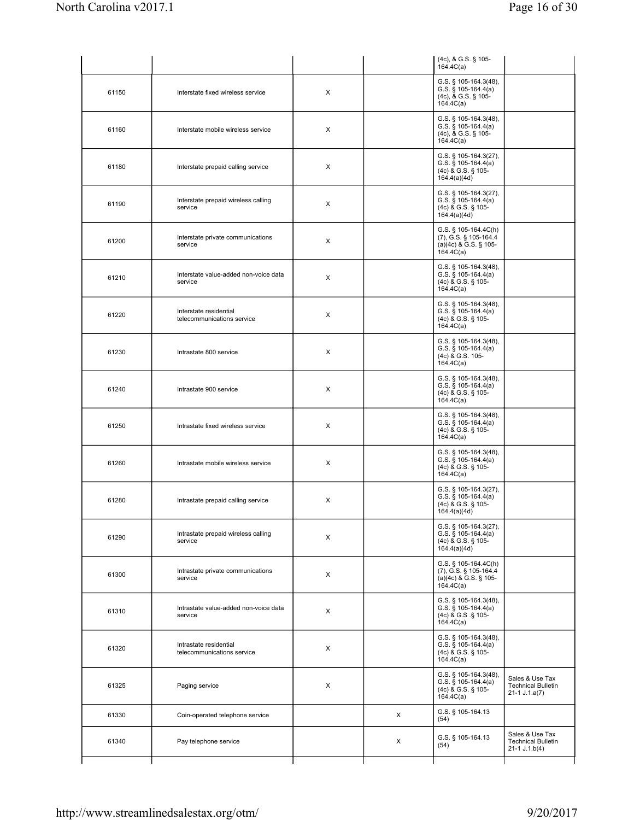|       |                                                      |   |   | (4c), & G.S. § 105-<br>164.4C(a)                                                          |                                                                 |
|-------|------------------------------------------------------|---|---|-------------------------------------------------------------------------------------------|-----------------------------------------------------------------|
| 61150 | Interstate fixed wireless service                    | X |   | G.S. § 105-164.3(48),<br>G.S. $§ 105-164.4(a)$<br>(4c), & G.S. § 105-<br>164.4C(a)        |                                                                 |
| 61160 | Interstate mobile wireless service                   | Χ |   | G.S. § 105-164.3(48),<br>G.S. $\S$ 105-164.4(a)<br>(4c), & G.S. § 105-<br>164.4C(a)       |                                                                 |
| 61180 | Interstate prepaid calling service                   | Χ |   | G.S. § 105-164.3(27),<br>$G.S.$ § 105-164.4(a)<br>(4c) & G.S. § 105-<br>164.4(a)(4d)      |                                                                 |
| 61190 | Interstate prepaid wireless calling<br>service       | X |   | G.S. § 105-164.3(27),<br>G.S. § 105-164.4(a)<br>(4c) & G.S. § 105-<br>164.4(a)(4d)        |                                                                 |
| 61200 | Interstate private communications<br>service         | X |   | G.S. § 105-164.4C(h)<br>(7), G.S. § 105-164.4<br>$(a)(4c)$ & G.S. § 105-<br>164.4C(a)     |                                                                 |
| 61210 | Interstate value-added non-voice data<br>service     | X |   | G.S. § 105-164.3(48),<br>$G.S.$ § 105-164.4(a)<br>(4c) & G.S. § 105-<br>164.4C(a)         |                                                                 |
| 61220 | Interstate residential<br>telecommunications service | Χ |   | $G.S.$ § 105-164.3(48),<br>G.S. $§ 105-164.4(a)$<br>(4c) & G.S. § 105-<br>164.4C(a)       |                                                                 |
| 61230 | Intrastate 800 service                               | Х |   | $G.S.$ § 105-164.3(48),<br>$G.S.$ § 105-164.4(a)<br>(4c) & G.S. 105-<br>164.4C(a)         |                                                                 |
| 61240 | Intrastate 900 service                               | X |   | $G.S.$ § 105-164.3(48),<br>G.S. $\S$ 105-164.4(a)<br>(4c) & G.S. § 105-<br>164.4C(a)      |                                                                 |
| 61250 | Intrastate fixed wireless service                    | X |   | $G.S.$ § 105-164.3(48),<br>G.S. $\bar{S}$ 105-164.4(a)<br>(4c) & G.S. § 105-<br>164.4C(a) |                                                                 |
| 61260 | Intrastate mobile wireless service                   | X |   | $G.S.$ § 105-164.3(48),<br>$G.S.$ § 105-164.4(a)<br>(4c) & G.S. § 105-<br>164.4C(a)       |                                                                 |
| 61280 | Intrastate prepaid calling service                   | Χ |   | G.S. § 105-164.3(27),<br>G.S. $§ 105-164.4(a)$<br>(4c) & G.S. § 105-<br>164.4(a)(4d)      |                                                                 |
| 61290 | Intrastate prepaid wireless calling<br>service       | X |   | G.S. § 105-164.3(27),<br>$G.S.$ § 105-164.4(a)<br>(4c) & G.S. § 105-<br>164.4(a)(4d)      |                                                                 |
| 61300 | Intrastate private communications<br>service         | X |   | $G.S.$ § 105-164.4 $C(h)$<br>(7), G.S. § 105-164.4<br>(a)(4c) & G.S. § 105-<br>164.4C(a)  |                                                                 |
| 61310 | Intrastate value-added non-voice data<br>service     | X |   | $G.S.$ § 105-164.3(48),<br>$G.S.$ § 105-164.4(a)<br>(4c) & G.S. § 105-<br>164.4C(a)       |                                                                 |
| 61320 | Intrastate residential<br>telecommunications service | X |   | G.S. § 105-164.3(48),<br>$G.S.$ § 105-164.4(a)<br>(4c) & G.S. § 105-<br>164.4C(a)         |                                                                 |
| 61325 | Paging service                                       | Χ |   | G.S. § 105-164.3(48),<br>G.S. $\S$ 105-164.4(a)<br>(4c) & G.S. § 105-<br>164.4C(a)        | Sales & Use Tax<br><b>Technical Bulletin</b><br>$21-1$ J.1.a(7) |
| 61330 | Coin-operated telephone service                      |   | X | G.S. § 105-164.13<br>(54)                                                                 |                                                                 |
| 61340 | Pay telephone service                                |   | X | G.S. § 105-164.13<br>(54)                                                                 | Sales & Use Tax<br><b>Technical Bulletin</b><br>$21-1 J.1.b(4)$ |
|       |                                                      |   |   |                                                                                           |                                                                 |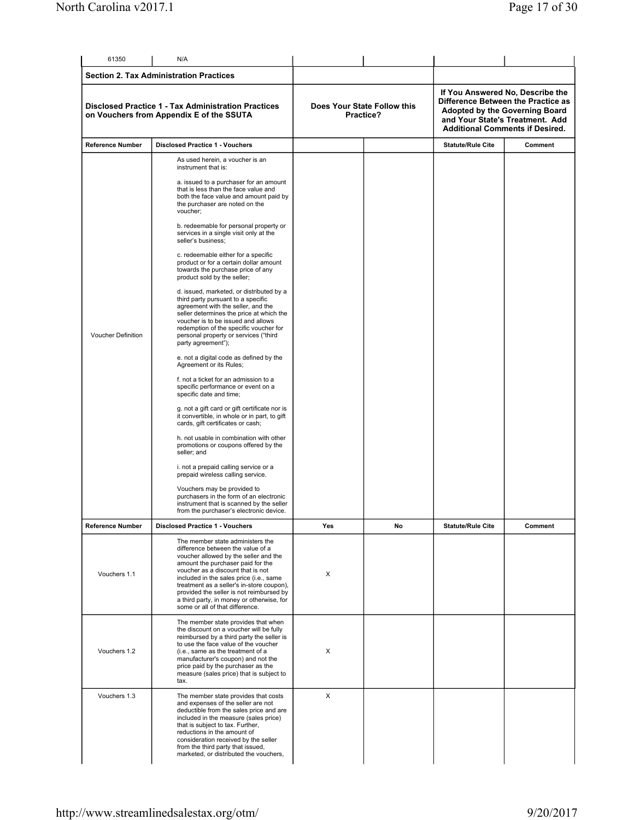| 61350                                                                                                  | N/A                                                                                                                                                                                                                                                                                                                                                                                                                                                                                                                                                                                                                                                                                                                                                                                                                                                                                                                                                                                                                                                                                                                                                                                                                                                                                                                                                                                                                                                                                       |     |                                          |                          |                                                                                                                                                                                              |  |
|--------------------------------------------------------------------------------------------------------|-------------------------------------------------------------------------------------------------------------------------------------------------------------------------------------------------------------------------------------------------------------------------------------------------------------------------------------------------------------------------------------------------------------------------------------------------------------------------------------------------------------------------------------------------------------------------------------------------------------------------------------------------------------------------------------------------------------------------------------------------------------------------------------------------------------------------------------------------------------------------------------------------------------------------------------------------------------------------------------------------------------------------------------------------------------------------------------------------------------------------------------------------------------------------------------------------------------------------------------------------------------------------------------------------------------------------------------------------------------------------------------------------------------------------------------------------------------------------------------------|-----|------------------------------------------|--------------------------|----------------------------------------------------------------------------------------------------------------------------------------------------------------------------------------------|--|
|                                                                                                        | <b>Section 2. Tax Administration Practices</b>                                                                                                                                                                                                                                                                                                                                                                                                                                                                                                                                                                                                                                                                                                                                                                                                                                                                                                                                                                                                                                                                                                                                                                                                                                                                                                                                                                                                                                            |     |                                          |                          |                                                                                                                                                                                              |  |
| <b>Disclosed Practice 1 - Tax Administration Practices</b><br>on Vouchers from Appendix E of the SSUTA |                                                                                                                                                                                                                                                                                                                                                                                                                                                                                                                                                                                                                                                                                                                                                                                                                                                                                                                                                                                                                                                                                                                                                                                                                                                                                                                                                                                                                                                                                           |     | Does Your State Follow this<br>Practice? |                          | If You Answered No, Describe the<br>Difference Between the Practice as<br><b>Adopted by the Governing Board</b><br>and Your State's Treatment. Add<br><b>Additional Comments if Desired.</b> |  |
| <b>Reference Number</b>                                                                                | <b>Disclosed Practice 1 - Vouchers</b>                                                                                                                                                                                                                                                                                                                                                                                                                                                                                                                                                                                                                                                                                                                                                                                                                                                                                                                                                                                                                                                                                                                                                                                                                                                                                                                                                                                                                                                    |     |                                          | <b>Statute/Rule Cite</b> | Comment                                                                                                                                                                                      |  |
| <b>Voucher Definition</b>                                                                              | As used herein, a voucher is an<br>instrument that is:<br>a. issued to a purchaser for an amount<br>that is less than the face value and<br>both the face value and amount paid by<br>the purchaser are noted on the<br>voucher;<br>b. redeemable for personal property or<br>services in a single visit only at the<br>seller's business;<br>c. redeemable either for a specific<br>product or for a certain dollar amount<br>towards the purchase price of any<br>product sold by the seller;<br>d. issued, marketed, or distributed by a<br>third party pursuant to a specific<br>agreement with the seller, and the<br>seller determines the price at which the<br>voucher is to be issued and allows<br>redemption of the specific voucher for<br>personal property or services ("third<br>party agreement");<br>e. not a digital code as defined by the<br>Agreement or its Rules;<br>f. not a ticket for an admission to a<br>specific performance or event on a<br>specific date and time;<br>g. not a gift card or gift certificate nor is<br>it convertible, in whole or in part, to gift<br>cards, gift certificates or cash;<br>h. not usable in combination with other<br>promotions or coupons offered by the<br>seller; and<br>i. not a prepaid calling service or a<br>prepaid wireless calling service.<br>Vouchers may be provided to<br>purchasers in the form of an electronic<br>instrument that is scanned by the seller<br>from the purchaser's electronic device. |     |                                          |                          |                                                                                                                                                                                              |  |
| <b>Reference Number</b>                                                                                | <b>Disclosed Practice 1 - Vouchers</b>                                                                                                                                                                                                                                                                                                                                                                                                                                                                                                                                                                                                                                                                                                                                                                                                                                                                                                                                                                                                                                                                                                                                                                                                                                                                                                                                                                                                                                                    | Yes | No                                       | <b>Statute/Rule Cite</b> | Comment                                                                                                                                                                                      |  |
| Vouchers 1.1                                                                                           | The member state administers the<br>difference between the value of a<br>voucher allowed by the seller and the<br>amount the purchaser paid for the<br>voucher as a discount that is not<br>included in the sales price (i.e., same<br>treatment as a seller's in-store coupon),<br>provided the seller is not reimbursed by<br>a third party, in money or otherwise, for<br>some or all of that difference.                                                                                                                                                                                                                                                                                                                                                                                                                                                                                                                                                                                                                                                                                                                                                                                                                                                                                                                                                                                                                                                                              | X   |                                          |                          |                                                                                                                                                                                              |  |
| Vouchers 1.2                                                                                           | The member state provides that when<br>the discount on a voucher will be fully<br>reimbursed by a third party the seller is<br>to use the face value of the voucher<br>(i.e., same as the treatment of a<br>manufacturer's coupon) and not the<br>price paid by the purchaser as the<br>measure (sales price) that is subject to<br>tax.                                                                                                                                                                                                                                                                                                                                                                                                                                                                                                                                                                                                                                                                                                                                                                                                                                                                                                                                                                                                                                                                                                                                                  | Х   |                                          |                          |                                                                                                                                                                                              |  |
| Vouchers 1.3                                                                                           | The member state provides that costs<br>and expenses of the seller are not<br>deductible from the sales price and are<br>included in the measure (sales price)<br>that is subject to tax. Further,<br>reductions in the amount of<br>consideration received by the seller<br>from the third party that issued,<br>marketed, or distributed the vouchers,                                                                                                                                                                                                                                                                                                                                                                                                                                                                                                                                                                                                                                                                                                                                                                                                                                                                                                                                                                                                                                                                                                                                  | X   |                                          |                          |                                                                                                                                                                                              |  |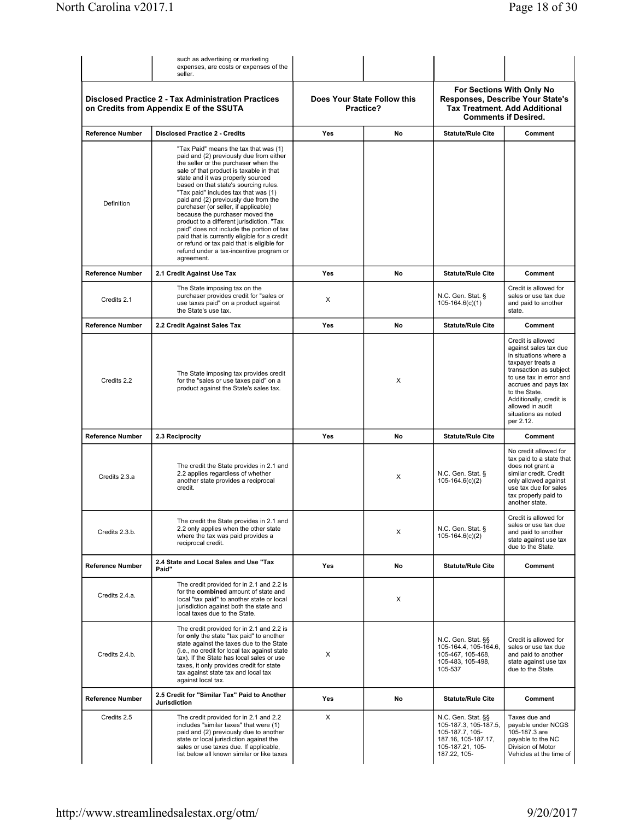|                         | such as advertising or marketing<br>expenses, are costs or expenses of the<br>seller.                                                                                                                                                                                                                                                                                                                                                                                                                                                                                                                                                                         |            |                                          |                                                                                                                           |                                                                                                                                                                                                                                                                           |
|-------------------------|---------------------------------------------------------------------------------------------------------------------------------------------------------------------------------------------------------------------------------------------------------------------------------------------------------------------------------------------------------------------------------------------------------------------------------------------------------------------------------------------------------------------------------------------------------------------------------------------------------------------------------------------------------------|------------|------------------------------------------|---------------------------------------------------------------------------------------------------------------------------|---------------------------------------------------------------------------------------------------------------------------------------------------------------------------------------------------------------------------------------------------------------------------|
|                         | <b>Disclosed Practice 2 - Tax Administration Practices</b><br>on Credits from Appendix E of the SSUTA                                                                                                                                                                                                                                                                                                                                                                                                                                                                                                                                                         |            | Does Your State Follow this<br>Practice? |                                                                                                                           | For Sections With Only No<br>Responses, Describe Your State's<br><b>Tax Treatment. Add Additional</b><br><b>Comments if Desired.</b>                                                                                                                                      |
| <b>Reference Number</b> | <b>Disclosed Practice 2 - Credits</b>                                                                                                                                                                                                                                                                                                                                                                                                                                                                                                                                                                                                                         | Yes        | No                                       | <b>Statute/Rule Cite</b>                                                                                                  | Comment                                                                                                                                                                                                                                                                   |
| Definition              | "Tax Paid" means the tax that was (1)<br>paid and (2) previously due from either<br>the seller or the purchaser when the<br>sale of that product is taxable in that<br>state and it was properly sourced<br>based on that state's sourcing rules.<br>"Tax paid" includes tax that was (1)<br>paid and (2) previously due from the<br>purchaser (or seller, if applicable)<br>because the purchaser moved the<br>product to a different jurisdiction. "Tax<br>paid" does not include the portion of tax<br>paid that is currently eligible for a credit<br>or refund or tax paid that is eligible for<br>refund under a tax-incentive program or<br>agreement. |            |                                          |                                                                                                                           |                                                                                                                                                                                                                                                                           |
| <b>Reference Number</b> | 2.1 Credit Against Use Tax                                                                                                                                                                                                                                                                                                                                                                                                                                                                                                                                                                                                                                    | <b>Yes</b> | No                                       | <b>Statute/Rule Cite</b>                                                                                                  | Comment                                                                                                                                                                                                                                                                   |
| Credits 2.1             | The State imposing tax on the<br>purchaser provides credit for "sales or<br>use taxes paid" on a product against<br>the State's use tax.                                                                                                                                                                                                                                                                                                                                                                                                                                                                                                                      | X          |                                          | N.C. Gen. Stat. §<br>$105-164.6(c)(1)$                                                                                    | Credit is allowed for<br>sales or use tax due<br>and paid to another<br>state.                                                                                                                                                                                            |
| <b>Reference Number</b> | 2.2 Credit Against Sales Tax                                                                                                                                                                                                                                                                                                                                                                                                                                                                                                                                                                                                                                  | <b>Yes</b> | No                                       | <b>Statute/Rule Cite</b>                                                                                                  | Comment                                                                                                                                                                                                                                                                   |
| Credits 2.2             | The State imposing tax provides credit<br>for the "sales or use taxes paid" on a<br>product against the State's sales tax.                                                                                                                                                                                                                                                                                                                                                                                                                                                                                                                                    |            | X                                        |                                                                                                                           | Credit is allowed<br>against sales tax due<br>in situations where a<br>taxpayer treats a<br>transaction as subject<br>to use tax in error and<br>accrues and pays tax<br>to the State.<br>Additionally, credit is<br>allowed in audit<br>situations as noted<br>per 2.12. |
| <b>Reference Number</b> | 2.3 Reciprocity                                                                                                                                                                                                                                                                                                                                                                                                                                                                                                                                                                                                                                               | Yes        | No                                       | <b>Statute/Rule Cite</b>                                                                                                  | Comment                                                                                                                                                                                                                                                                   |
| Credits 2.3.a           | The credit the State provides in 2.1 and<br>2.2 applies regardless of whether<br>another state provides a reciprocal<br>credit.                                                                                                                                                                                                                                                                                                                                                                                                                                                                                                                               |            | X                                        | N.C. Gen. Stat. §<br>$105-164.6(c)(2)$                                                                                    | No credit allowed for<br>tax paid to a state that<br>does not grant a<br>similar credit. Credit<br>only allowed against<br>use tax due for sales<br>tax properly paid to<br>another state.                                                                                |
| Credits 2.3.b.          | The credit the State provides in 2.1 and<br>2.2 only applies when the other state<br>where the tax was paid provides a<br>reciprocal credit.                                                                                                                                                                                                                                                                                                                                                                                                                                                                                                                  |            | X                                        | N.C. Gen. Stat. §<br>$105-164.6(c)(2)$                                                                                    | Credit is allowed for<br>sales or use tax due<br>and paid to another<br>state against use tax<br>due to the State.                                                                                                                                                        |
| <b>Reference Number</b> | 2.4 State and Local Sales and Use "Tax<br>Paid"                                                                                                                                                                                                                                                                                                                                                                                                                                                                                                                                                                                                               | Yes        | No                                       | <b>Statute/Rule Cite</b>                                                                                                  | Comment                                                                                                                                                                                                                                                                   |
| Credits 2.4.a.          | The credit provided for in 2.1 and 2.2 is<br>for the combined amount of state and<br>local "tax paid" to another state or local<br>jurisdiction against both the state and<br>local taxes due to the State.                                                                                                                                                                                                                                                                                                                                                                                                                                                   |            | X                                        |                                                                                                                           |                                                                                                                                                                                                                                                                           |
| Credits 2.4.b.          | The credit provided for in 2.1 and 2.2 is<br>for only the state "tax paid" to another<br>state against the taxes due to the State<br>(i.e., no credit for local tax against state<br>tax). If the State has local sales or use<br>taxes, it only provides credit for state<br>tax against state tax and local tax<br>against local tax.                                                                                                                                                                                                                                                                                                                       | X          |                                          | N.C. Gen. Stat. §§<br>105-164.4, 105-164.6,<br>105-467, 105-468,<br>105-483, 105-498,<br>105-537                          | Credit is allowed for<br>sales or use tax due<br>and paid to another<br>state against use tax<br>due to the State.                                                                                                                                                        |
| <b>Reference Number</b> | 2.5 Credit for "Similar Tax" Paid to Another<br><b>Jurisdiction</b>                                                                                                                                                                                                                                                                                                                                                                                                                                                                                                                                                                                           | Yes        | No                                       | <b>Statute/Rule Cite</b>                                                                                                  | Comment                                                                                                                                                                                                                                                                   |
| Credits 2.5             | The credit provided for in 2.1 and 2.2<br>includes "similar taxes" that were (1)<br>paid and (2) previously due to another<br>state or local jurisdiction against the<br>sales or use taxes due. If applicable,<br>list below all known similar or like taxes                                                                                                                                                                                                                                                                                                                                                                                                 | X          |                                          | N.C. Gen. Stat. §§<br>105-187.3, 105-187.5,<br>105-187.7, 105-<br>187.16, 105-187.17,<br>105-187.21, 105-<br>187.22, 105- | Taxes due and<br>payable under NCGS<br>105-187.3 are<br>payable to the NC<br>Division of Motor<br>Vehicles at the time of                                                                                                                                                 |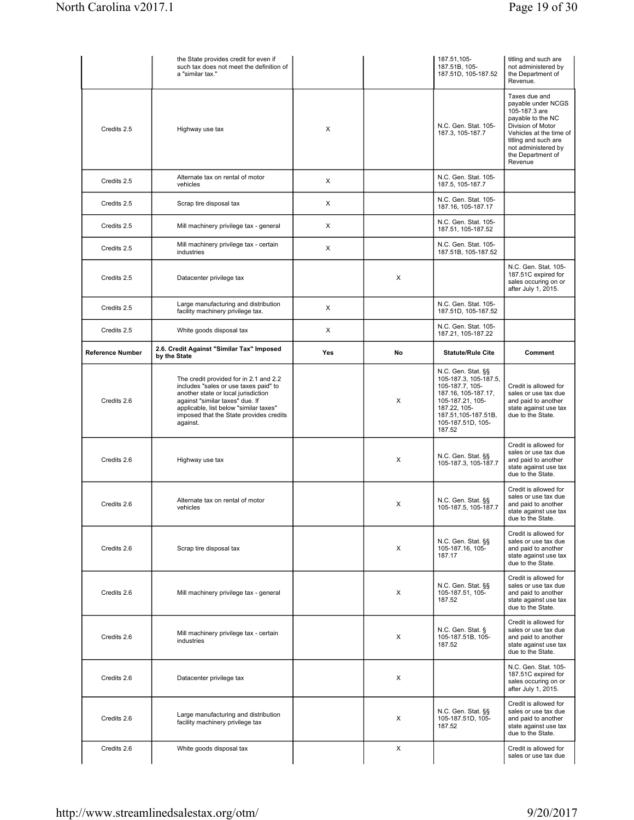|                         | the State provides credit for even if<br>such tax does not meet the definition of<br>a "similar tax."                                                                                                                                                      |     |    | 187.51,105-<br>187.51B, 105-<br>187.51D, 105-187.52                                                                                                                             | titling and such are<br>not administered by<br>the Department of<br>Revenue.                                                                                                                             |
|-------------------------|------------------------------------------------------------------------------------------------------------------------------------------------------------------------------------------------------------------------------------------------------------|-----|----|---------------------------------------------------------------------------------------------------------------------------------------------------------------------------------|----------------------------------------------------------------------------------------------------------------------------------------------------------------------------------------------------------|
| Credits 2.5             | Highway use tax                                                                                                                                                                                                                                            | X   |    | N.C. Gen. Stat. 105-<br>187.3, 105-187.7                                                                                                                                        | Taxes due and<br>payable under NCGS<br>105-187.3 are<br>payable to the NC<br>Division of Motor<br>Vehicles at the time of<br>titling and such are<br>not administered by<br>the Department of<br>Revenue |
| Credits 2.5             | Alternate tax on rental of motor<br>vehicles                                                                                                                                                                                                               | X   |    | N.C. Gen. Stat. 105-<br>187.5, 105-187.7                                                                                                                                        |                                                                                                                                                                                                          |
| Credits 2.5             | Scrap tire disposal tax                                                                                                                                                                                                                                    | X   |    | N.C. Gen. Stat. 105-<br>187.16, 105-187.17                                                                                                                                      |                                                                                                                                                                                                          |
| Credits 2.5             | Mill machinery privilege tax - general                                                                                                                                                                                                                     | X   |    | N.C. Gen. Stat. 105-<br>187.51, 105-187.52                                                                                                                                      |                                                                                                                                                                                                          |
| Credits 2.5             | Mill machinery privilege tax - certain<br>industries                                                                                                                                                                                                       | X   |    | N.C. Gen. Stat. 105-<br>187.51B, 105-187.52                                                                                                                                     |                                                                                                                                                                                                          |
| Credits 2.5             | Datacenter privilege tax                                                                                                                                                                                                                                   |     | X  |                                                                                                                                                                                 | N.C. Gen. Stat. 105-<br>187.51C expired for<br>sales occuring on or<br>after July 1, 2015.                                                                                                               |
| Credits 2.5             | Large manufacturing and distribution<br>facility machinery privilege tax.                                                                                                                                                                                  | X   |    | N.C. Gen. Stat. 105-<br>187.51D, 105-187.52                                                                                                                                     |                                                                                                                                                                                                          |
| Credits 2.5             | White goods disposal tax                                                                                                                                                                                                                                   | X   |    | N.C. Gen. Stat. 105-<br>187.21, 105-187.22                                                                                                                                      |                                                                                                                                                                                                          |
| <b>Reference Number</b> | 2.6. Credit Against "Similar Tax" Imposed<br>by the State                                                                                                                                                                                                  | Yes | No | <b>Statute/Rule Cite</b>                                                                                                                                                        | Comment                                                                                                                                                                                                  |
| Credits 2.6             | The credit provided for in 2.1 and 2.2<br>includes "sales or use taxes paid" to<br>another state or local jurisdiction<br>against "similar taxes" due. If<br>applicable, list below "similar taxes"<br>imposed that the State provides credits<br>against. |     | X  | N.C. Gen. Stat. §§<br>105-187.3, 105-187.5,<br>105-187.7, 105-<br>187.16, 105-187.17,<br>105-187.21, 105-<br>187.22, 105-<br>187.51,105-187.51B,<br>105-187.51D, 105-<br>187.52 | Credit is allowed for<br>sales or use tax due<br>and paid to another<br>state against use tax<br>due to the State.                                                                                       |
| Credits 2.6             | Highway use tax                                                                                                                                                                                                                                            |     | X  | N.C. Gen. Stat. §§<br>105-187.3, 105-187.7                                                                                                                                      | Credit is allowed for<br>sales or use tax due<br>and paid to another<br>state against use tax<br>due to the State.                                                                                       |
| Credits 2.6             | Alternate tax on rental of motor<br>vehicles                                                                                                                                                                                                               |     | X  | N.C. Gen. Stat. §§<br>105-187.5, 105-187.7                                                                                                                                      | Credit is allowed for<br>sales or use tax due<br>and paid to another<br>state against use tax<br>due to the State.                                                                                       |
| Credits 2.6             | Scrap tire disposal tax                                                                                                                                                                                                                                    |     | X  | N.C. Gen. Stat. §§<br>105-187.16, 105-<br>187.17                                                                                                                                | Credit is allowed for<br>sales or use tax due<br>and paid to another<br>state against use tax<br>due to the State.                                                                                       |
| Credits 2.6             | Mill machinery privilege tax - general                                                                                                                                                                                                                     |     | X  | N.C. Gen. Stat. §§<br>105-187.51, 105-<br>187.52                                                                                                                                | Credit is allowed for<br>sales or use tax due<br>and paid to another<br>state against use tax<br>due to the State.                                                                                       |
| Credits 2.6             | Mill machinery privilege tax - certain<br>industries                                                                                                                                                                                                       |     | X  | N.C. Gen. Stat. §<br>105-187.51B, 105-<br>187.52                                                                                                                                | Credit is allowed for<br>sales or use tax due<br>and paid to another<br>state against use tax<br>due to the State.                                                                                       |
| Credits 2.6             | Datacenter privilege tax                                                                                                                                                                                                                                   |     | X  |                                                                                                                                                                                 | N.C. Gen. Stat. 105-<br>187.51C expired for<br>sales occuring on or<br>after July 1, 2015.                                                                                                               |
| Credits 2.6             | Large manufacturing and distribution<br>facility machinery privilege tax                                                                                                                                                                                   |     | X  | N.C. Gen. Stat. §§<br>105-187.51D, 105-<br>187.52                                                                                                                               | Credit is allowed for<br>sales or use tax due<br>and paid to another<br>state against use tax<br>due to the State.                                                                                       |
|                         |                                                                                                                                                                                                                                                            |     |    |                                                                                                                                                                                 |                                                                                                                                                                                                          |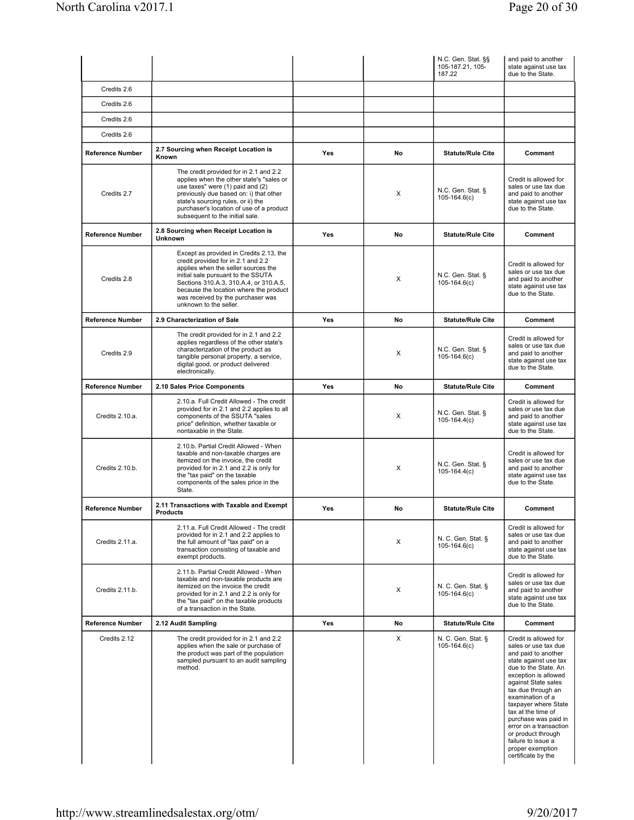|                         |                                                                                                                                                                                                                                                                                                               |     |    | N.C. Gen. Stat. §§<br>105-187.21, 105-<br>187.22 | and paid to another<br>state against use tax<br>due to the State.                                                                                                                                                                                                                                                                                                                                    |
|-------------------------|---------------------------------------------------------------------------------------------------------------------------------------------------------------------------------------------------------------------------------------------------------------------------------------------------------------|-----|----|--------------------------------------------------|------------------------------------------------------------------------------------------------------------------------------------------------------------------------------------------------------------------------------------------------------------------------------------------------------------------------------------------------------------------------------------------------------|
| Credits 2.6             |                                                                                                                                                                                                                                                                                                               |     |    |                                                  |                                                                                                                                                                                                                                                                                                                                                                                                      |
| Credits 2.6             |                                                                                                                                                                                                                                                                                                               |     |    |                                                  |                                                                                                                                                                                                                                                                                                                                                                                                      |
| Credits 2.6             |                                                                                                                                                                                                                                                                                                               |     |    |                                                  |                                                                                                                                                                                                                                                                                                                                                                                                      |
| Credits 2.6             |                                                                                                                                                                                                                                                                                                               |     |    |                                                  |                                                                                                                                                                                                                                                                                                                                                                                                      |
| <b>Reference Number</b> | 2.7 Sourcing when Receipt Location is<br>Known                                                                                                                                                                                                                                                                | Yes | No | <b>Statute/Rule Cite</b>                         | Comment                                                                                                                                                                                                                                                                                                                                                                                              |
| Credits 2.7             | The credit provided for in 2.1 and 2.2<br>applies when the other state's "sales or<br>use taxes" were (1) paid and (2)<br>previously due based on: i) that other<br>state's sourcing rules, or ii) the<br>purchaser's location of use of a product<br>subsequent to the initial sale.                         |     | X  | N.C. Gen. Stat. §<br>$105-164.6(c)$              | Credit is allowed for<br>sales or use tax due<br>and paid to another<br>state against use tax<br>due to the State.                                                                                                                                                                                                                                                                                   |
| <b>Reference Number</b> | 2.8 Sourcing when Receipt Location is<br>Unknown                                                                                                                                                                                                                                                              | Yes | No | <b>Statute/Rule Cite</b>                         | Comment                                                                                                                                                                                                                                                                                                                                                                                              |
| Credits 2.8             | Except as provided in Credits 2.13, the<br>credit provided for in 2.1 and 2.2<br>applies when the seller sources the<br>initial sale pursuant to the SSUTA<br>Sections 310.A.3, 310.A.4, or 310.A.5,<br>because the location where the product<br>was received by the purchaser was<br>unknown to the seller. |     | X  | N.C. Gen. Stat. §<br>$105-164.6(c)$              | Credit is allowed for<br>sales or use tax due<br>and paid to another<br>state against use tax<br>due to the State.                                                                                                                                                                                                                                                                                   |
| <b>Reference Number</b> | 2.9 Characterization of Sale                                                                                                                                                                                                                                                                                  | Yes | No | <b>Statute/Rule Cite</b>                         | Comment                                                                                                                                                                                                                                                                                                                                                                                              |
| Credits 2.9             | The credit provided for in 2.1 and 2.2<br>applies regardless of the other state's<br>characterization of the product as<br>tangible personal property, a service,<br>digital good, or product delivered<br>electronically.                                                                                    |     | X  | N.C. Gen. Stat. §<br>$105-164.6(c)$              | Credit is allowed for<br>sales or use tax due<br>and paid to another<br>state against use tax<br>due to the State.                                                                                                                                                                                                                                                                                   |
| <b>Reference Number</b> | 2.10 Sales Price Components                                                                                                                                                                                                                                                                                   | Yes | No | <b>Statute/Rule Cite</b>                         | Comment                                                                                                                                                                                                                                                                                                                                                                                              |
| Credits 2.10.a.         | 2.10.a. Full Credit Allowed - The credit<br>provided for in 2.1 and 2.2 applies to all<br>components of the SSUTA "sales<br>price" definition, whether taxable or<br>nontaxable in the State.                                                                                                                 |     | X  | N.C. Gen. Stat. §<br>$105-164.4(c)$              | Credit is allowed for<br>sales or use tax due<br>and paid to another<br>state against use tax<br>due to the State.                                                                                                                                                                                                                                                                                   |
| Credits 2.10.b.         | 2.10.b. Partial Credit Allowed - When<br>taxable and non-taxable charges are<br>itemized on the invoice, the credit<br>provided for in 2.1 and 2.2 is only for<br>the "tax paid" on the taxable<br>components of the sales price in the<br>State.                                                             |     | X  | N.C. Gen. Stat. §<br>$105-164.4(c)$              | Credit is allowed for<br>sales or use tax due<br>and paid to another<br>state against use tax<br>due to the State.                                                                                                                                                                                                                                                                                   |
| Reference Number        | 2.11 Transactions with Taxable and Exempt<br><b>Products</b>                                                                                                                                                                                                                                                  | Yes | No | <b>Statute/Rule Cite</b>                         | Comment                                                                                                                                                                                                                                                                                                                                                                                              |
| Credits 2.11.a.         | 2.11.a. Full Credit Allowed - The credit<br>provided for in 2.1 and 2.2 applies to<br>the full amount of "tax paid" on a<br>transaction consisting of taxable and<br>exempt products.                                                                                                                         |     | X  | N. C. Gen. Stat. §<br>$105-164.6(c)$             | Credit is allowed for<br>sales or use tax due<br>and paid to another<br>state against use tax<br>due to the State.                                                                                                                                                                                                                                                                                   |
| Credits 2.11.b.         | 2.11.b. Partial Credit Allowed - When<br>taxable and non-taxable products are<br>itemized on the invoice the credit<br>provided for in 2.1 and 2.2 is only for<br>the "tax paid" on the taxable products<br>of a transaction in the State.                                                                    |     | X  | N. C. Gen. Stat. §<br>$105-164.6(c)$             | Credit is allowed for<br>sales or use tax due<br>and paid to another<br>state against use tax<br>due to the State.                                                                                                                                                                                                                                                                                   |
| <b>Reference Number</b> | 2.12 Audit Sampling                                                                                                                                                                                                                                                                                           | Yes | No | <b>Statute/Rule Cite</b>                         | Comment                                                                                                                                                                                                                                                                                                                                                                                              |
| Credits 2.12            | The credit provided for in 2.1 and 2.2<br>applies when the sale or purchase of<br>the product was part of the population<br>sampled pursuant to an audit sampling<br>method.                                                                                                                                  |     | X  | N. C. Gen. Stat. §<br>$105-164.6(c)$             | Credit is allowed for<br>sales or use tax due<br>and paid to another<br>state against use tax<br>due to the State. An<br>exception is allowed<br>against State sales<br>tax due through an<br>examination of a<br>taxpayer where State<br>tax at the time of<br>purchase was paid in<br>error on a transaction<br>or product through<br>failure to issue a<br>proper exemption<br>certificate by the |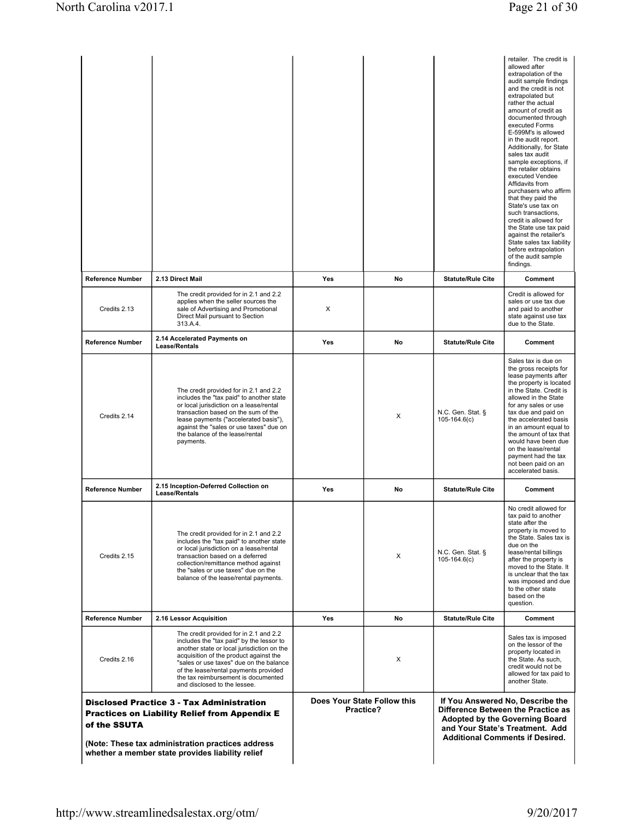|                                                                                                                                                                                                                                   |                                                                                                                                                                                                                                                                                                                                       |     |                                          |                                     | retailer. The credit is<br>allowed after<br>extrapolation of the<br>audit sample findings<br>and the credit is not<br>extrapolated but<br>rather the actual<br>amount of credit as<br>documented through<br>executed Forms<br>E-599M's is allowed<br>in the audit report.<br>Additionally, for State<br>sales tax audit<br>sample exceptions, if<br>the retailer obtains<br>executed Vendee<br>Affidavits from<br>purchasers who affirm<br>that they paid the<br>State's use tax on<br>such transactions.<br>credit is allowed for<br>the State use tax paid<br>against the retailer's<br>State sales tax liability<br>before extrapolation<br>of the audit sample<br>findings. |
|-----------------------------------------------------------------------------------------------------------------------------------------------------------------------------------------------------------------------------------|---------------------------------------------------------------------------------------------------------------------------------------------------------------------------------------------------------------------------------------------------------------------------------------------------------------------------------------|-----|------------------------------------------|-------------------------------------|---------------------------------------------------------------------------------------------------------------------------------------------------------------------------------------------------------------------------------------------------------------------------------------------------------------------------------------------------------------------------------------------------------------------------------------------------------------------------------------------------------------------------------------------------------------------------------------------------------------------------------------------------------------------------------|
| Reference Number                                                                                                                                                                                                                  | 2.13 Direct Mail                                                                                                                                                                                                                                                                                                                      | Yes | No                                       | <b>Statute/Rule Cite</b>            | Comment                                                                                                                                                                                                                                                                                                                                                                                                                                                                                                                                                                                                                                                                         |
| Credits 2.13                                                                                                                                                                                                                      | The credit provided for in 2.1 and 2.2<br>applies when the seller sources the<br>sale of Advertising and Promotional<br>Direct Mail pursuant to Section<br>313.A.4.                                                                                                                                                                   | X   |                                          |                                     | Credit is allowed for<br>sales or use tax due<br>and paid to another<br>state against use tax<br>due to the State.                                                                                                                                                                                                                                                                                                                                                                                                                                                                                                                                                              |
| <b>Reference Number</b>                                                                                                                                                                                                           | 2.14 Accelerated Payments on<br>Lease/Rentals                                                                                                                                                                                                                                                                                         | Yes | No                                       | <b>Statute/Rule Cite</b>            | Comment                                                                                                                                                                                                                                                                                                                                                                                                                                                                                                                                                                                                                                                                         |
| Credits 2.14                                                                                                                                                                                                                      | The credit provided for in 2.1 and 2.2<br>includes the "tax paid" to another state<br>or local jurisdiction on a lease/rental<br>transaction based on the sum of the<br>lease payments ("accelerated basis"),<br>against the "sales or use taxes" due on<br>the balance of the lease/rental<br>payments.                              |     | X                                        | N.C. Gen. Stat. §<br>$105-164.6(c)$ | Sales tax is due on<br>the gross receipts for<br>lease payments after<br>the property is located<br>in the State. Credit is<br>allowed in the State<br>for any sales or use<br>tax due and paid on<br>the accelerated basis<br>in an amount equal to<br>the amount of tax that<br>would have been due<br>on the lease/rental<br>payment had the tax<br>not been paid on an<br>accelerated basis.                                                                                                                                                                                                                                                                                |
| <b>Reference Number</b>                                                                                                                                                                                                           | 2.15 Inception-Deferred Collection on<br>Lease/Rentals                                                                                                                                                                                                                                                                                | Yes | No                                       | <b>Statute/Rule Cite</b>            | Comment                                                                                                                                                                                                                                                                                                                                                                                                                                                                                                                                                                                                                                                                         |
| Credits 2.15                                                                                                                                                                                                                      | The credit provided for in 2.1 and 2.2<br>includes the "tax paid" to another state<br>or local jurisdiction on a lease/rental<br>transaction based on a deferred<br>collection/remittance method against<br>the "sales or use taxes" due on the<br>balance of the lease/rental payments.                                              |     | X                                        | N.C. Gen. Stat. §<br>$105-164.6(c)$ | No credit allowed for<br>tax paid to another<br>state after the<br>property is moved to<br>the State. Sales tax is<br>due on the<br>lease/rental billings<br>after the property is<br>moved to the State. It<br>is unclear that the tax<br>was imposed and due<br>to the other state<br>based on the<br>question.                                                                                                                                                                                                                                                                                                                                                               |
| Reference Number                                                                                                                                                                                                                  | 2.16 Lessor Acquisition                                                                                                                                                                                                                                                                                                               | Yes | No                                       | <b>Statute/Rule Cite</b>            | Comment                                                                                                                                                                                                                                                                                                                                                                                                                                                                                                                                                                                                                                                                         |
| Credits 2.16                                                                                                                                                                                                                      | The credit provided for in 2.1 and 2.2<br>includes the "tax paid" by the lessor to<br>another state or local jurisdiction on the<br>acquisition of the product against the<br>"sales or use taxes" due on the balance<br>of the lease/rental payments provided<br>the tax reimbursement is documented<br>and disclosed to the lessee. |     | X                                        |                                     | Sales tax is imposed<br>on the lessor of the<br>property located in<br>the State. As such,<br>credit would not be<br>allowed for tax paid to<br>another State.                                                                                                                                                                                                                                                                                                                                                                                                                                                                                                                  |
| <b>Disclosed Practice 3 - Tax Administration</b><br><b>Practices on Liability Relief from Appendix E</b><br>of the SSUTA<br>(Note: These tax administration practices address<br>whether a member state provides liability relief |                                                                                                                                                                                                                                                                                                                                       |     | Does Your State Follow this<br>Practice? |                                     | If You Answered No, Describe the<br>Difference Between the Practice as<br>Adopted by the Governing Board<br>and Your State's Treatment. Add<br><b>Additional Comments if Desired.</b>                                                                                                                                                                                                                                                                                                                                                                                                                                                                                           |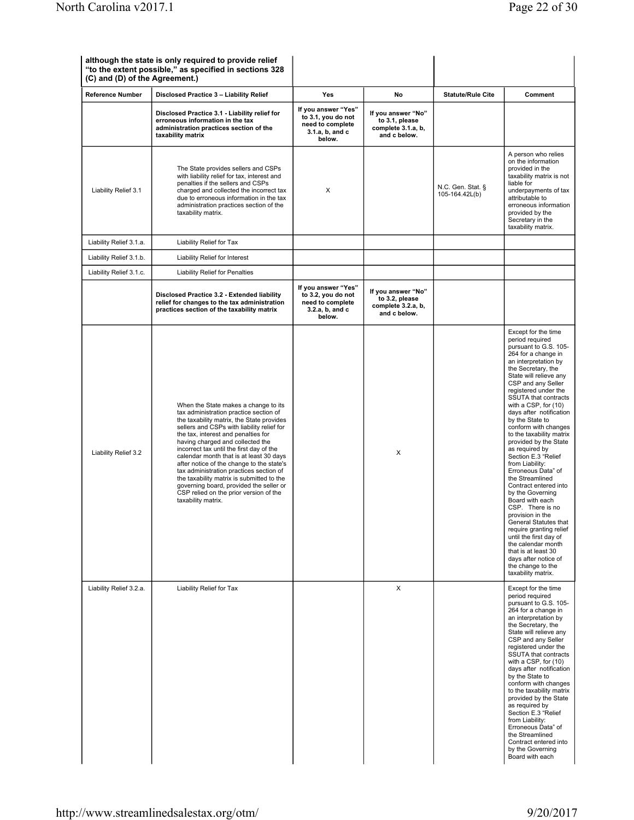| <b>Reference Number</b> | Disclosed Practice 3 - Liability Relief                                                                                                                                                                                                                                                                                                                                                                                                                                                                                                                                                     | <b>Yes</b>                                                                                 | No                                                                         | <b>Statute/Rule Cite</b>            | Comment                                                                                                                                                                                                                                                                                                                                                                                                                                                                                                                                                                                                                                                                                                                                                                                            |
|-------------------------|---------------------------------------------------------------------------------------------------------------------------------------------------------------------------------------------------------------------------------------------------------------------------------------------------------------------------------------------------------------------------------------------------------------------------------------------------------------------------------------------------------------------------------------------------------------------------------------------|--------------------------------------------------------------------------------------------|----------------------------------------------------------------------------|-------------------------------------|----------------------------------------------------------------------------------------------------------------------------------------------------------------------------------------------------------------------------------------------------------------------------------------------------------------------------------------------------------------------------------------------------------------------------------------------------------------------------------------------------------------------------------------------------------------------------------------------------------------------------------------------------------------------------------------------------------------------------------------------------------------------------------------------------|
|                         | Disclosed Practice 3.1 - Liability relief for<br>erroneous information in the tax<br>administration practices section of the<br>taxability matrix                                                                                                                                                                                                                                                                                                                                                                                                                                           | If you answer "Yes"<br>to 3.1, you do not<br>need to complete<br>3.1.a, b, and c<br>below. | If you answer "No"<br>to 3.1, please<br>complete 3.1.a, b,<br>and c below. |                                     |                                                                                                                                                                                                                                                                                                                                                                                                                                                                                                                                                                                                                                                                                                                                                                                                    |
| Liability Relief 3.1    | The State provides sellers and CSPs<br>with liability relief for tax, interest and<br>penalties if the sellers and CSPs<br>charged and collected the incorrect tax<br>due to erroneous information in the tax<br>administration practices section of the<br>taxability matrix.                                                                                                                                                                                                                                                                                                              | X                                                                                          |                                                                            | N.C. Gen. Stat. §<br>105-164.42L(b) | A person who relies<br>on the information<br>provided in the<br>taxability matrix is not<br>liable for<br>underpayments of tax<br>attributable to<br>erroneous information<br>provided by the<br>Secretary in the<br>taxability matrix.                                                                                                                                                                                                                                                                                                                                                                                                                                                                                                                                                            |
| Liability Relief 3.1.a. | Liability Relief for Tax                                                                                                                                                                                                                                                                                                                                                                                                                                                                                                                                                                    |                                                                                            |                                                                            |                                     |                                                                                                                                                                                                                                                                                                                                                                                                                                                                                                                                                                                                                                                                                                                                                                                                    |
| Liability Relief 3.1.b. | Liability Relief for Interest                                                                                                                                                                                                                                                                                                                                                                                                                                                                                                                                                               |                                                                                            |                                                                            |                                     |                                                                                                                                                                                                                                                                                                                                                                                                                                                                                                                                                                                                                                                                                                                                                                                                    |
| Liability Relief 3.1.c. | <b>Liability Relief for Penalties</b>                                                                                                                                                                                                                                                                                                                                                                                                                                                                                                                                                       |                                                                                            |                                                                            |                                     |                                                                                                                                                                                                                                                                                                                                                                                                                                                                                                                                                                                                                                                                                                                                                                                                    |
|                         | Disclosed Practice 3.2 - Extended liability<br>relief for changes to the tax administration<br>practices section of the taxability matrix                                                                                                                                                                                                                                                                                                                                                                                                                                                   | If you answer "Yes"<br>to 3.2, you do not<br>need to complete<br>3.2.a, b, and c<br>below. | If you answer "No"<br>to 3.2, please<br>complete 3.2.a, b,<br>and c below. |                                     |                                                                                                                                                                                                                                                                                                                                                                                                                                                                                                                                                                                                                                                                                                                                                                                                    |
| Liability Relief 3.2    | When the State makes a change to its<br>tax administration practice section of<br>the taxability matrix, the State provides<br>sellers and CSPs with liability relief for<br>the tax, interest and penalties for<br>having charged and collected the<br>incorrect tax until the first day of the<br>calendar month that is at least 30 days<br>after notice of the change to the state's<br>tax administration practices section of<br>the taxability matrix is submitted to the<br>governing board, provided the seller or<br>CSP relied on the prior version of the<br>taxability matrix. |                                                                                            | X                                                                          |                                     | Except for the time<br>period required<br>pursuant to G.S. 105-<br>264 for a change in<br>an interpretation by<br>the Secretary, the<br>State will relieve any<br>CSP and any Seller<br>registered under the<br>SSUTA that contracts<br>with a CSP, for (10)<br>days after notification<br>by the State to<br>conform with changes<br>to the taxability matrix<br>provided by the State<br>as required by<br>Section E.3 "Relief<br>from Liability:<br>Erroneous Data" of<br>the Streamlined<br>Contract entered into<br>by the Governing<br>Board with each<br>CSP. There is no<br>provision in the<br>General Statutes that<br>require granting relief<br>until the first day of<br>the calendar month<br>that is at least 30<br>days after notice of<br>the change to the<br>taxability matrix. |
| Liability Relief 3.2.a. | Liability Relief for Tax                                                                                                                                                                                                                                                                                                                                                                                                                                                                                                                                                                    |                                                                                            | X                                                                          |                                     | Except for the time<br>period required<br>pursuant to G.S. 105-<br>264 for a change in<br>an interpretation by<br>the Secretary, the<br>State will relieve any<br>CSP and any Seller<br>registered under the<br>SSUTA that contracts<br>with a CSP, for (10)<br>days after notification<br>by the State to<br>conform with changes<br>to the taxability matrix<br>provided by the State<br>as required by<br>Section E.3 "Relief<br>from Liability:<br>Erroneous Data" of<br>the Streamlined<br>Contract entered into                                                                                                                                                                                                                                                                              |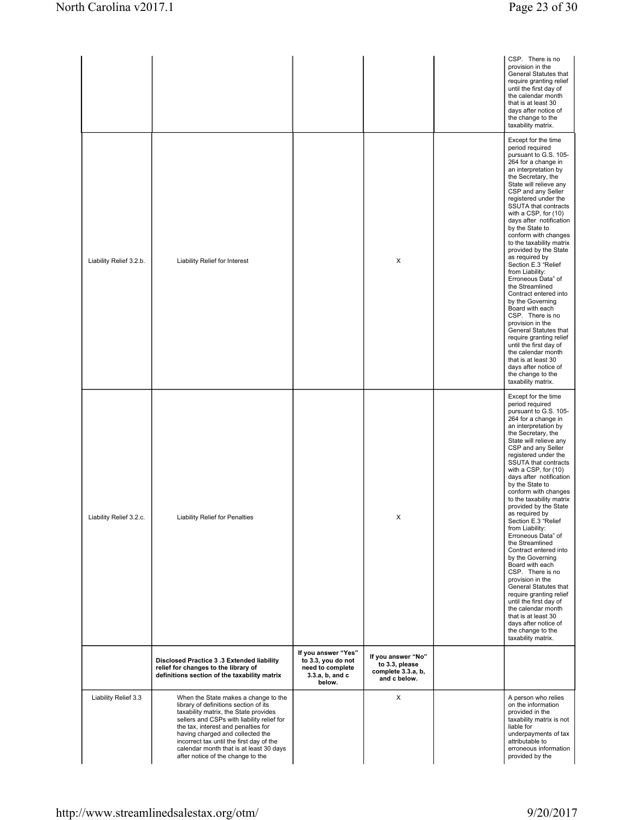|                         |                                                                                                                                                                                                                                                                                                                                                                             |                                                                                            |                                                                            | CSP. There is no<br>provision in the<br>General Statutes that<br>require granting relief<br>until the first day of<br>the calendar month<br>that is at least 30<br>days after notice of<br>the change to the<br>taxability matrix.                                                                                                                                                                                                                                                                                                                                                                                                                                                                                                                                                                 |
|-------------------------|-----------------------------------------------------------------------------------------------------------------------------------------------------------------------------------------------------------------------------------------------------------------------------------------------------------------------------------------------------------------------------|--------------------------------------------------------------------------------------------|----------------------------------------------------------------------------|----------------------------------------------------------------------------------------------------------------------------------------------------------------------------------------------------------------------------------------------------------------------------------------------------------------------------------------------------------------------------------------------------------------------------------------------------------------------------------------------------------------------------------------------------------------------------------------------------------------------------------------------------------------------------------------------------------------------------------------------------------------------------------------------------|
| Liability Relief 3.2.b. | Liability Relief for Interest                                                                                                                                                                                                                                                                                                                                               |                                                                                            | X                                                                          | Except for the time<br>period required<br>pursuant to G.S. 105-<br>264 for a change in<br>an interpretation by<br>the Secretary, the<br>State will relieve any<br>CSP and any Seller<br>registered under the<br>SSUTA that contracts<br>with a CSP, for (10)<br>days after notification<br>by the State to<br>conform with changes<br>to the taxability matrix<br>provided by the State<br>as required by<br>Section E.3 "Relief<br>from Liability:<br>Erroneous Data" of<br>the Streamlined<br>Contract entered into<br>by the Governing<br>Board with each<br>CSP. There is no<br>provision in the<br>General Statutes that<br>require granting relief<br>until the first day of<br>the calendar month<br>that is at least 30<br>days after notice of<br>the change to the<br>taxability matrix. |
| Liability Relief 3.2.c. | <b>Liability Relief for Penalties</b>                                                                                                                                                                                                                                                                                                                                       |                                                                                            | x                                                                          | Except for the time<br>period required<br>pursuant to G.S. 105-<br>264 for a change in<br>an interpretation by<br>the Secretary, the<br>State will relieve any<br>CSP and any Seller<br>registered under the<br>SSUTA that contracts<br>with a CSP, for (10)<br>days after notification<br>by the State to<br>conform with changes<br>to the taxability matrix<br>provided by the State<br>as required by<br>Section E.3 "Relief<br>from Liability:<br>Erroneous Data" of<br>the Streamlined<br>Contract entered into<br>by the Governing<br>Board with each<br>CSP. There is no<br>provision in the<br>General Statutes that<br>require granting relief<br>until the first day of<br>the calendar month<br>that is at least 30<br>days after notice of<br>the change to the<br>taxability matrix. |
|                         | Disclosed Practice 3.3 Extended liability<br>relief for changes to the library of<br>definitions section of the taxability matrix                                                                                                                                                                                                                                           | If you answer "Yes"<br>to 3.3, you do not<br>need to complete<br>3.3.a, b, and c<br>below. | If you answer "No"<br>to 3.3, please<br>complete 3.3.a, b,<br>and c below. |                                                                                                                                                                                                                                                                                                                                                                                                                                                                                                                                                                                                                                                                                                                                                                                                    |
| Liability Relief 3.3    | When the State makes a change to the<br>library of definitions section of its<br>taxability matrix, the State provides<br>sellers and CSPs with liability relief for<br>the tax, interest and penalties for<br>having charged and collected the<br>incorrect tax until the first day of the<br>calendar month that is at least 30 days<br>after notice of the change to the |                                                                                            | X                                                                          | A person who relies<br>on the information<br>provided in the<br>taxability matrix is not<br>liable for<br>underpayments of tax<br>attributable to<br>erroneous information<br>provided by the                                                                                                                                                                                                                                                                                                                                                                                                                                                                                                                                                                                                      |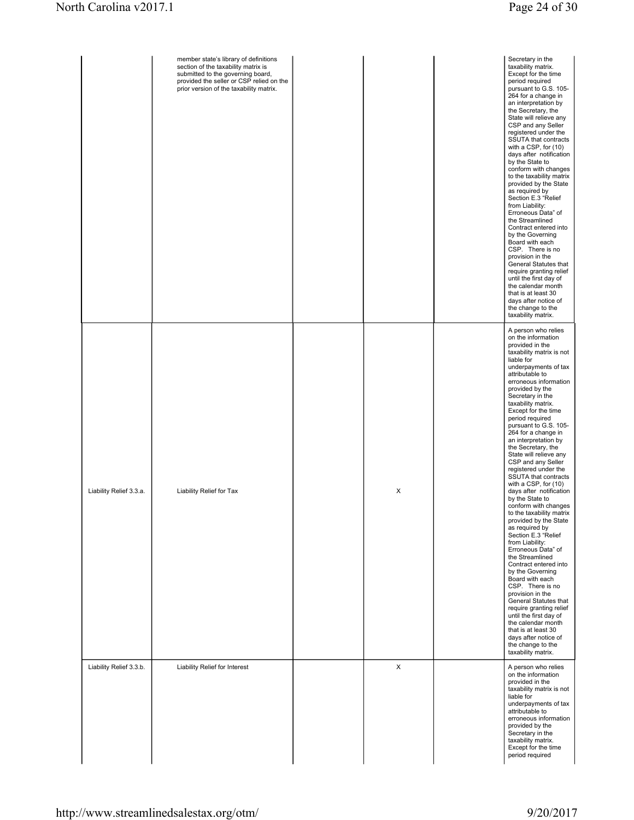|                         | member state's library of definitions<br>section of the taxability matrix is<br>submitted to the governing board,<br>provided the seller or CSP relied on the<br>prior version of the taxability matrix. |   | Secretary in the<br>taxability matrix.<br>Except for the time<br>period required<br>pursuant to G.S. 105-<br>264 for a change in<br>an interpretation by<br>the Secretary, the<br>State will relieve any<br>CSP and any Seller<br>registered under the<br>SSUTA that contracts<br>with a CSP, for (10)<br>days after notification<br>by the State to<br>conform with changes<br>to the taxability matrix<br>provided by the State<br>as required by<br>Section E.3 "Relief<br>from Liability:<br>Erroneous Data" of<br>the Streamlined<br>Contract entered into<br>by the Governing<br>Board with each<br>CSP. There is no<br>provision in the<br>General Statutes that<br>require granting relief<br>until the first day of<br>the calendar month<br>that is at least 30<br>days after notice of<br>the change to the<br>taxability matrix.                                                                                                                                                                                                  |
|-------------------------|----------------------------------------------------------------------------------------------------------------------------------------------------------------------------------------------------------|---|-----------------------------------------------------------------------------------------------------------------------------------------------------------------------------------------------------------------------------------------------------------------------------------------------------------------------------------------------------------------------------------------------------------------------------------------------------------------------------------------------------------------------------------------------------------------------------------------------------------------------------------------------------------------------------------------------------------------------------------------------------------------------------------------------------------------------------------------------------------------------------------------------------------------------------------------------------------------------------------------------------------------------------------------------|
| Liability Relief 3.3.a. | Liability Relief for Tax                                                                                                                                                                                 | X | A person who relies<br>on the information<br>provided in the<br>taxability matrix is not<br>liable for<br>underpayments of tax<br>attributable to<br>erroneous information<br>provided by the<br>Secretary in the<br>taxability matrix.<br>Except for the time<br>period required<br>pursuant to G.S. 105-<br>264 for a change in<br>an interpretation by<br>the Secretary, the<br>State will relieve any<br>CSP and any Seller<br>registered under the<br>SSUTA that contracts<br>with a CSP, for (10)<br>days after notification<br>by the State to<br>conform with changes<br>to the taxability matrix<br>provided by the State<br>as required by<br>Section E.3 "Relief<br>from Liability:<br>Erroneous Data" of<br>the Streamlined<br>Contract entered into<br>by the Governing<br>Board with each<br>CSP. There is no<br>provision in the<br>General Statutes that<br>require granting relief<br>until the first day of<br>the calendar month<br>that is at least 30<br>days after notice of<br>the change to the<br>taxability matrix. |
| Liability Relief 3.3.b. | Liability Relief for Interest                                                                                                                                                                            | X | A person who relies<br>on the information<br>provided in the<br>taxability matrix is not<br>liable for<br>underpayments of tax<br>attributable to<br>erroneous information<br>provided by the<br>Secretary in the<br>taxability matrix.<br>Except for the time<br>period required                                                                                                                                                                                                                                                                                                                                                                                                                                                                                                                                                                                                                                                                                                                                                             |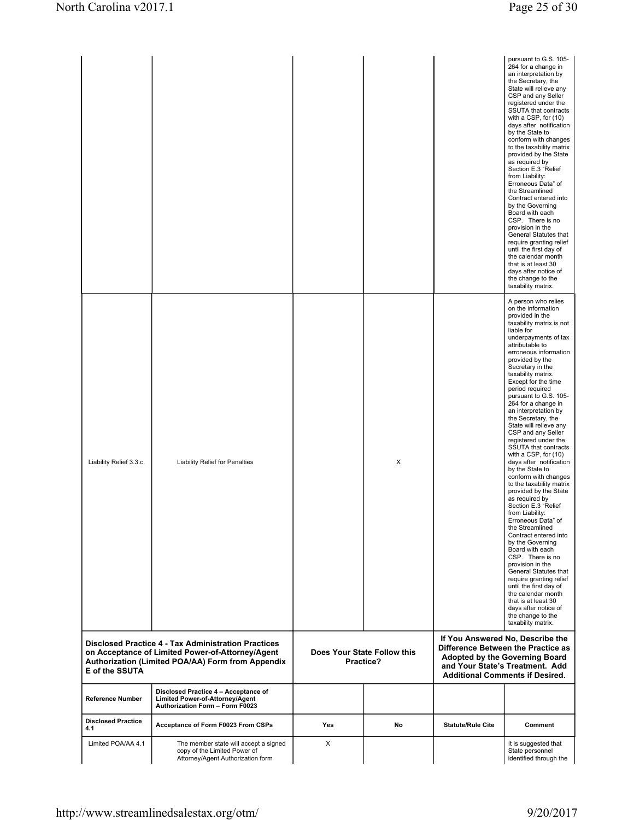| <b>Reference Number</b><br><b>Disclosed Practice</b><br>4.1<br>Limited POA/AA 4.1 | Limited Power-of-Attorney/Agent<br>Authorization Form - Form F0023<br>Acceptance of Form F0023 From CSPs<br>The member state will accept a signed                                                           | Yes<br>X | No                                       | <b>Statute/Rule Cite</b>           | Comment<br>It is suggested that                                                                                                                                                                                                                                                                                                                                                                                                                                                                                                                                                                                                                                                                                                                                                                                                                                                                                                                                                                                                                                     |
|-----------------------------------------------------------------------------------|-------------------------------------------------------------------------------------------------------------------------------------------------------------------------------------------------------------|----------|------------------------------------------|------------------------------------|---------------------------------------------------------------------------------------------------------------------------------------------------------------------------------------------------------------------------------------------------------------------------------------------------------------------------------------------------------------------------------------------------------------------------------------------------------------------------------------------------------------------------------------------------------------------------------------------------------------------------------------------------------------------------------------------------------------------------------------------------------------------------------------------------------------------------------------------------------------------------------------------------------------------------------------------------------------------------------------------------------------------------------------------------------------------|
| E of the SSUTA                                                                    | <b>Disclosed Practice 4 - Tax Administration Practices</b><br>on Acceptance of Limited Power-of-Attorney/Agent<br>Authorization (Limited POA/AA) Form from Appendix<br>Disclosed Practice 4 - Acceptance of |          | Does Your State Follow this<br>Practice? | Difference Between the Practice as | If You Answered No, Describe the<br>Adopted by the Governing Board<br>and Your State's Treatment. Add<br><b>Additional Comments if Desired.</b>                                                                                                                                                                                                                                                                                                                                                                                                                                                                                                                                                                                                                                                                                                                                                                                                                                                                                                                     |
| Liability Relief 3.3.c.                                                           | <b>Liability Relief for Penalties</b>                                                                                                                                                                       |          | X                                        |                                    | taxability matrix.<br>A person who relies<br>on the information<br>provided in the<br>taxability matrix is not<br>liable for<br>underpayments of tax<br>attributable to<br>erroneous information<br>provided by the<br>Secretary in the<br>taxability matrix.<br>Except for the time<br>period required<br>pursuant to G.S. 105-<br>264 for a change in<br>an interpretation by<br>the Secretary, the<br>State will relieve any<br>CSP and any Seller<br>registered under the<br>SSUTA that contracts<br>with a CSP, for (10)<br>days after notification<br>by the State to<br>conform with changes<br>to the taxability matrix<br>provided by the State<br>as required by<br>Section E.3 "Relief<br>from Liability:<br>Erroneous Data" of<br>the Streamlined<br>Contract entered into<br>by the Governing<br>Board with each<br>CSP. There is no<br>provision in the<br>General Statutes that<br>require granting relief<br>until the first day of<br>the calendar month<br>that is at least 30<br>days after notice of<br>the change to the<br>taxability matrix. |
|                                                                                   |                                                                                                                                                                                                             |          |                                          |                                    | the Secretary, the<br>State will relieve any<br>CSP and any Seller<br>registered under the<br>SSUTA that contracts<br>with a CSP, for (10)<br>days after notification<br>by the State to<br>conform with changes<br>to the taxability matrix<br>provided by the State<br>as required by<br>Section E.3 "Relief<br>from Liability:<br>Erroneous Data" of<br>the Streamlined<br>Contract entered into<br>by the Governing<br>Board with each<br>CSP. There is no<br>provision in the<br>General Statutes that<br>require granting relief<br>until the first day of<br>the calendar month<br>that is at least 30<br>days after notice of<br>the change to the                                                                                                                                                                                                                                                                                                                                                                                                          |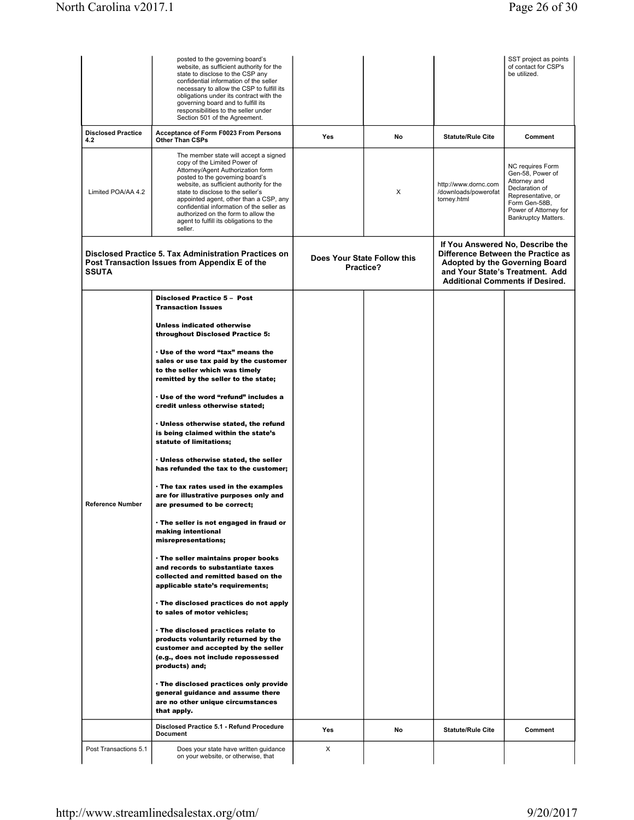|                                                                                                                         | posted to the governing board's<br>website, as sufficient authority for the<br>state to disclose to the CSP any<br>confidential information of the seller<br>necessary to allow the CSP to fulfill its<br>obligations under its contract with the<br>governing board and to fulfill its<br>responsibilities to the seller under<br>Section 501 of the Agreement.                                                   |                                          |    |                                                                                                                                                                                       | SST project as points<br>of contact for CSP's<br>be utilized.                                                                                                 |
|-------------------------------------------------------------------------------------------------------------------------|--------------------------------------------------------------------------------------------------------------------------------------------------------------------------------------------------------------------------------------------------------------------------------------------------------------------------------------------------------------------------------------------------------------------|------------------------------------------|----|---------------------------------------------------------------------------------------------------------------------------------------------------------------------------------------|---------------------------------------------------------------------------------------------------------------------------------------------------------------|
| <b>Disclosed Practice</b><br>4.2                                                                                        | <b>Acceptance of Form F0023 From Persons</b><br><b>Other Than CSPs</b>                                                                                                                                                                                                                                                                                                                                             | Yes                                      | No | <b>Statute/Rule Cite</b>                                                                                                                                                              | Comment                                                                                                                                                       |
| Limited POA/AA 4.2                                                                                                      | The member state will accept a signed<br>copy of the Limited Power of<br>Attorney/Agent Authorization form<br>posted to the governing board's<br>website, as sufficient authority for the<br>state to disclose to the seller's<br>appointed agent, other than a CSP, any<br>confidential information of the seller as<br>authorized on the form to allow the<br>agent to fulfill its obligations to the<br>seller. |                                          | X  | http://www.dornc.com<br>/downloads/powerofat<br>torney.html                                                                                                                           | NC requires Form<br>Gen-58, Power of<br>Attorney and<br>Declaration of<br>Representative, or<br>Form Gen-58B,<br>Power of Attorney for<br>Bankruptcy Matters. |
| Disclosed Practice 5. Tax Administration Practices on<br>Post Transaction Issues from Appendix E of the<br><b>SSUTA</b> |                                                                                                                                                                                                                                                                                                                                                                                                                    | Does Your State Follow this<br>Practice? |    | If You Answered No, Describe the<br>Difference Between the Practice as<br>Adopted by the Governing Board<br>and Your State's Treatment. Add<br><b>Additional Comments if Desired.</b> |                                                                                                                                                               |
|                                                                                                                         | <b>Disclosed Practice 5 - Post</b><br><b>Transaction Issues</b>                                                                                                                                                                                                                                                                                                                                                    |                                          |    |                                                                                                                                                                                       |                                                                                                                                                               |
|                                                                                                                         | <b>Unless indicated otherwise</b><br>throughout Disclosed Practice 5:                                                                                                                                                                                                                                                                                                                                              |                                          |    |                                                                                                                                                                                       |                                                                                                                                                               |
|                                                                                                                         | . Use of the word "tax" means the<br>sales or use tax paid by the customer<br>to the seller which was timely<br>remitted by the seller to the state;                                                                                                                                                                                                                                                               |                                          |    |                                                                                                                                                                                       |                                                                                                                                                               |
|                                                                                                                         | . Use of the word "refund" includes a<br>credit unless otherwise stated;                                                                                                                                                                                                                                                                                                                                           |                                          |    |                                                                                                                                                                                       |                                                                                                                                                               |
|                                                                                                                         | . Unless otherwise stated, the refund<br>is being claimed within the state's<br>statute of limitations;                                                                                                                                                                                                                                                                                                            |                                          |    |                                                                                                                                                                                       |                                                                                                                                                               |
|                                                                                                                         | . Unless otherwise stated, the seller<br>has refunded the tax to the customer;                                                                                                                                                                                                                                                                                                                                     |                                          |    |                                                                                                                                                                                       |                                                                                                                                                               |
| <b>Reference Number</b>                                                                                                 | . The tax rates used in the examples<br>are for illustrative purposes only and<br>are presumed to be correct;                                                                                                                                                                                                                                                                                                      |                                          |    |                                                                                                                                                                                       |                                                                                                                                                               |
|                                                                                                                         | . The seller is not engaged in fraud or<br>making intentional<br>misrepresentations;                                                                                                                                                                                                                                                                                                                               |                                          |    |                                                                                                                                                                                       |                                                                                                                                                               |
|                                                                                                                         | . The seller maintains proper books<br>and records to substantiate taxes<br>collected and remitted based on the<br>applicable state's requirements;                                                                                                                                                                                                                                                                |                                          |    |                                                                                                                                                                                       |                                                                                                                                                               |
|                                                                                                                         | . The disclosed practices do not apply<br>to sales of motor vehicles;                                                                                                                                                                                                                                                                                                                                              |                                          |    |                                                                                                                                                                                       |                                                                                                                                                               |
|                                                                                                                         | · The disclosed practices relate to<br>products voluntarily returned by the<br>customer and accepted by the seller<br>(e.g., does not include repossessed<br>products) and;                                                                                                                                                                                                                                        |                                          |    |                                                                                                                                                                                       |                                                                                                                                                               |
|                                                                                                                         | . The disclosed practices only provide<br>general guidance and assume there<br>are no other unique circumstances<br>that apply.                                                                                                                                                                                                                                                                                    |                                          |    |                                                                                                                                                                                       |                                                                                                                                                               |
|                                                                                                                         | Disclosed Practice 5.1 - Refund Procedure<br><b>Document</b>                                                                                                                                                                                                                                                                                                                                                       | Yes                                      | No | <b>Statute/Rule Cite</b>                                                                                                                                                              | Comment                                                                                                                                                       |
| Post Transactions 5.1                                                                                                   | Does your state have written guidance<br>on your website, or otherwise, that                                                                                                                                                                                                                                                                                                                                       | X                                        |    |                                                                                                                                                                                       |                                                                                                                                                               |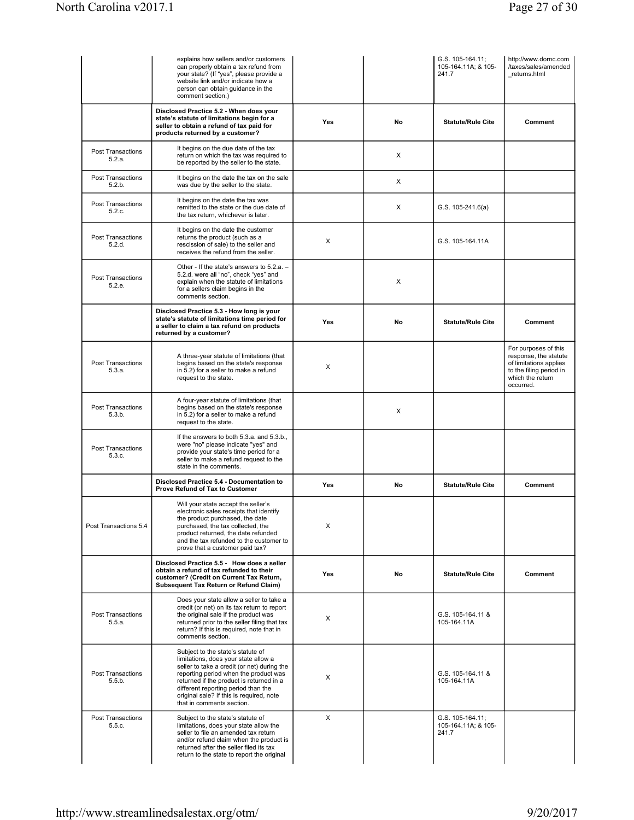|                                    | explains how sellers and/or customers<br>can properly obtain a tax refund from<br>your state? (If "yes", please provide a<br>website link and/or indicate how a<br>person can obtain guidance in the<br>comment section.)                                                                                                     |            |    | G.S. 105-164.11:<br>105-164.11A; & 105-<br>241.7 | http://www.dornc.com<br>/taxes/sales/amended<br>returns.html                                                                        |
|------------------------------------|-------------------------------------------------------------------------------------------------------------------------------------------------------------------------------------------------------------------------------------------------------------------------------------------------------------------------------|------------|----|--------------------------------------------------|-------------------------------------------------------------------------------------------------------------------------------------|
|                                    | Disclosed Practice 5.2 - When does your<br>state's statute of limitations begin for a<br>seller to obtain a refund of tax paid for<br>products returned by a customer?                                                                                                                                                        | <b>Yes</b> | No | <b>Statute/Rule Cite</b>                         | Comment                                                                                                                             |
| <b>Post Transactions</b><br>5.2.a. | It begins on the due date of the tax<br>return on which the tax was required to<br>be reported by the seller to the state.                                                                                                                                                                                                    |            | X  |                                                  |                                                                                                                                     |
| <b>Post Transactions</b><br>5.2.b. | It begins on the date the tax on the sale<br>was due by the seller to the state.                                                                                                                                                                                                                                              |            | X  |                                                  |                                                                                                                                     |
| Post Transactions<br>5.2.c.        | It begins on the date the tax was<br>remitted to the state or the due date of<br>the tax return, whichever is later.                                                                                                                                                                                                          |            | X  | $G.S. 105-241.6(a)$                              |                                                                                                                                     |
| <b>Post Transactions</b><br>5.2.d. | It begins on the date the customer<br>returns the product (such as a<br>rescission of sale) to the seller and<br>receives the refund from the seller.                                                                                                                                                                         | X          |    | G.S. 105-164.11A                                 |                                                                                                                                     |
| <b>Post Transactions</b><br>5.2.e. | Other - If the state's answers to 5.2.a. -<br>5.2.d. were all "no", check "yes" and<br>explain when the statute of limitations<br>for a sellers claim begins in the<br>comments section.                                                                                                                                      |            | X  |                                                  |                                                                                                                                     |
|                                    | Disclosed Practice 5.3 - How long is your<br>state's statute of limitations time period for<br>a seller to claim a tax refund on products<br>returned by a customer?                                                                                                                                                          | <b>Yes</b> | No | <b>Statute/Rule Cite</b>                         | Comment                                                                                                                             |
| <b>Post Transactions</b><br>5.3.a. | A three-year statute of limitations (that<br>begins based on the state's response<br>in 5.2) for a seller to make a refund<br>request to the state.                                                                                                                                                                           | X          |    |                                                  | For purposes of this<br>response, the statute<br>of limitations applies<br>to the filing period in<br>which the return<br>occurred. |
| <b>Post Transactions</b><br>5.3.b. | A four-year statute of limitations (that<br>begins based on the state's response<br>in 5.2) for a seller to make a refund<br>request to the state.                                                                                                                                                                            |            | X  |                                                  |                                                                                                                                     |
| <b>Post Transactions</b><br>5.3.c. | If the answers to both 5.3.a. and 5.3.b.,<br>were "no" please indicate "yes" and<br>provide your state's time period for a<br>seller to make a refund request to the<br>state in the comments.                                                                                                                                |            |    |                                                  |                                                                                                                                     |
|                                    | Disclosed Practice 5.4 - Documentation to<br>Prove Refund of Tax to Customer                                                                                                                                                                                                                                                  | Yes        | No | <b>Statute/Rule Cite</b>                         | Comment                                                                                                                             |
| Post Transactions 5.4              | Will your state accept the seller's<br>electronic sales receipts that identify<br>the product purchased, the date<br>purchased, the tax collected, the<br>product returned, the date refunded<br>and the tax refunded to the customer to<br>prove that a customer paid tax?                                                   | X          |    |                                                  |                                                                                                                                     |
|                                    | Disclosed Practice 5.5 - How does a seller<br>obtain a refund of tax refunded to their<br>customer? (Credit on Current Tax Return,<br>Subsequent Tax Return or Refund Claim)                                                                                                                                                  | Yes        | No | <b>Statute/Rule Cite</b>                         | Comment                                                                                                                             |
| <b>Post Transactions</b><br>5.5.a. | Does your state allow a seller to take a<br>credit (or net) on its tax return to report<br>the original sale if the product was<br>returned prior to the seller filing that tax<br>return? If this is required, note that in<br>comments section.                                                                             | X          |    | G.S. 105-164.11 &<br>105-164.11A                 |                                                                                                                                     |
| <b>Post Transactions</b><br>5.5.b. | Subject to the state's statute of<br>limitations, does your state allow a<br>seller to take a credit (or net) during the<br>reporting period when the product was<br>returned if the product is returned in a<br>different reporting period than the<br>original sale? If this is required, note<br>that in comments section. | X          |    | G.S. 105-164.11 &<br>105-164.11A                 |                                                                                                                                     |
| <b>Post Transactions</b><br>5.5.c. | Subject to the state's statute of<br>limitations, does your state allow the<br>seller to file an amended tax return<br>and/or refund claim when the product is<br>returned after the seller filed its tax<br>return to the state to report the original                                                                       | X          |    | G.S. 105-164.11;<br>105-164.11A; & 105-<br>241.7 |                                                                                                                                     |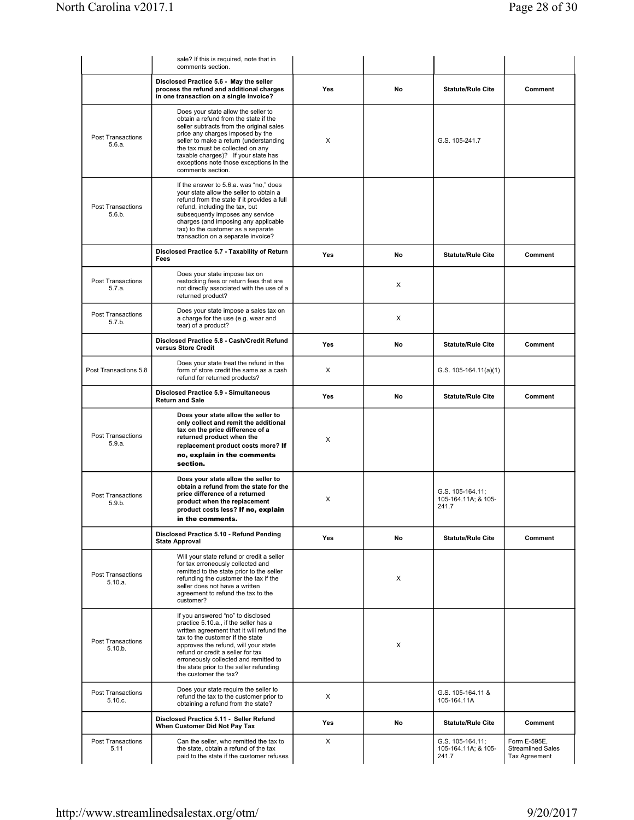|                                     | sale? If this is required, note that in<br>comments section.                                                                                                                                                                                                                                                                                          |            |    |                                                  |                                                           |
|-------------------------------------|-------------------------------------------------------------------------------------------------------------------------------------------------------------------------------------------------------------------------------------------------------------------------------------------------------------------------------------------------------|------------|----|--------------------------------------------------|-----------------------------------------------------------|
|                                     | Disclosed Practice 5.6 - May the seller<br>process the refund and additional charges<br>in one transaction on a single invoice?                                                                                                                                                                                                                       | Yes        | No | <b>Statute/Rule Cite</b>                         | Comment                                                   |
| <b>Post Transactions</b><br>5.6.a.  | Does your state allow the seller to<br>obtain a refund from the state if the<br>seller subtracts from the original sales<br>price any charges imposed by the<br>seller to make a return (understanding<br>the tax must be collected on any<br>taxable charges)? If your state has<br>exceptions note those exceptions in the<br>comments section.     | X          |    | G.S. 105-241.7                                   |                                                           |
| Post Transactions<br>5.6.b.         | If the answer to 5.6.a. was "no," does<br>your state allow the seller to obtain a<br>refund from the state if it provides a full<br>refund, including the tax, but<br>subsequently imposes any service<br>charges (and imposing any applicable<br>tax) to the customer as a separate<br>transaction on a separate invoice?                            |            |    |                                                  |                                                           |
|                                     | Disclosed Practice 5.7 - Taxability of Return<br>Fees                                                                                                                                                                                                                                                                                                 | Yes        | No | <b>Statute/Rule Cite</b>                         | Comment                                                   |
| <b>Post Transactions</b><br>5.7.a.  | Does your state impose tax on<br>restocking fees or return fees that are<br>not directly associated with the use of a<br>returned product?                                                                                                                                                                                                            |            | X  |                                                  |                                                           |
| <b>Post Transactions</b><br>5.7.b.  | Does your state impose a sales tax on<br>a charge for the use (e.g. wear and<br>tear) of a product?                                                                                                                                                                                                                                                   |            | X  |                                                  |                                                           |
|                                     | Disclosed Practice 5.8 - Cash/Credit Refund<br>versus Store Credit                                                                                                                                                                                                                                                                                    | <b>Yes</b> | No | <b>Statute/Rule Cite</b>                         | Comment                                                   |
| Post Transactions 5.8               | Does your state treat the refund in the<br>form of store credit the same as a cash<br>refund for returned products?                                                                                                                                                                                                                                   | X          |    | G.S. $105-164.11(a)(1)$                          |                                                           |
|                                     | Disclosed Practice 5.9 - Simultaneous<br><b>Return and Sale</b>                                                                                                                                                                                                                                                                                       | Yes        | No | <b>Statute/Rule Cite</b>                         | Comment                                                   |
| <b>Post Transactions</b><br>5.9.a.  | Does your state allow the seller to<br>only collect and remit the additional<br>tax on the price difference of a<br>returned product when the<br>replacement product costs more? If<br>no, explain in the comments<br>section.                                                                                                                        | X          |    |                                                  |                                                           |
| <b>Post Transactions</b><br>5.9.b.  | Does your state allow the seller to<br>obtain a refund from the state for the<br>price difference of a returned<br>product when the replacement<br>product costs less? If no, explain<br>in the comments.                                                                                                                                             | х          |    | G.S. 105-164.11;<br>105-164.11A; & 105-<br>241.7 |                                                           |
|                                     | Disclosed Practice 5.10 - Refund Pending<br><b>State Approval</b>                                                                                                                                                                                                                                                                                     | Yes        | No | <b>Statute/Rule Cite</b>                         | Comment                                                   |
| Post Transactions<br>5.10.a.        | Will your state refund or credit a seller<br>for tax erroneously collected and<br>remitted to the state prior to the seller<br>refunding the customer the tax if the<br>seller does not have a written<br>agreement to refund the tax to the<br>customer?                                                                                             |            | X  |                                                  |                                                           |
| <b>Post Transactions</b><br>5.10.b. | If you answered "no" to disclosed<br>practice 5.10.a., if the seller has a<br>written agreement that it will refund the<br>tax to the customer if the state<br>approves the refund, will your state<br>refund or credit a seller for tax<br>erroneously collected and remitted to<br>the state prior to the seller refunding<br>the customer the tax? |            | X  |                                                  |                                                           |
| Post Transactions<br>5.10.c.        | Does your state require the seller to<br>refund the tax to the customer prior to<br>obtaining a refund from the state?                                                                                                                                                                                                                                | X          |    | G.S. 105-164.11 &<br>105-164.11A                 |                                                           |
|                                     | Disclosed Practice 5.11 - Seller Refund<br>When Customer Did Not Pay Tax                                                                                                                                                                                                                                                                              | Yes        | No | <b>Statute/Rule Cite</b>                         | Comment                                                   |
| <b>Post Transactions</b><br>5.11    | Can the seller, who remitted the tax to<br>the state, obtain a refund of the tax<br>paid to the state if the customer refuses                                                                                                                                                                                                                         | X          |    | G.S. 105-164.11;<br>105-164.11A; & 105-<br>241.7 | Form E-595E.<br><b>Streamlined Sales</b><br>Tax Agreement |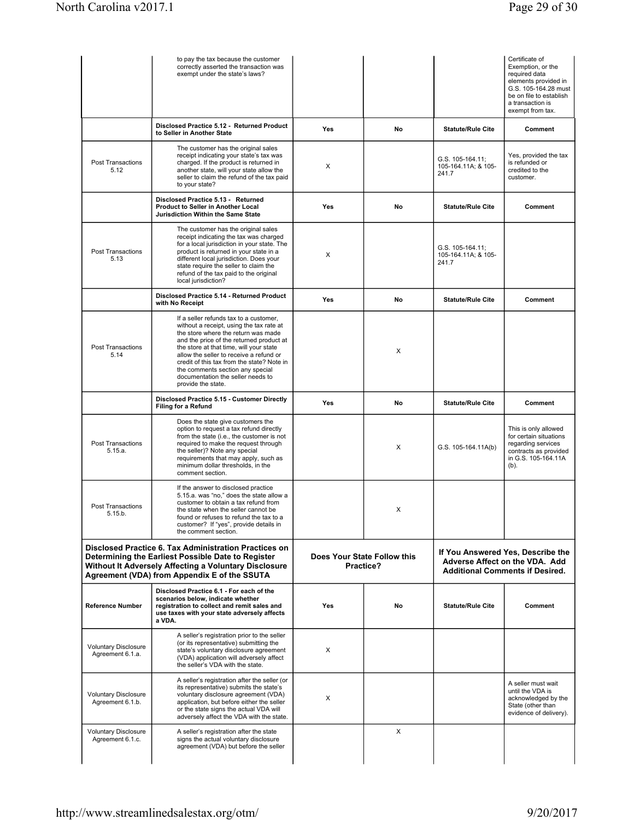|                                                                                                                                                                                                                             | to pay the tax because the customer<br>correctly asserted the transaction was<br>exempt under the state's laws?                                                                                                                                                                                                                                                                                          |                                          |    |                                                                                                               | Certificate of<br>Exemption, or the<br>required data<br>elements provided in<br>G.S. 105-164.28 must<br>be on file to establish<br>a transaction is<br>exempt from tax. |
|-----------------------------------------------------------------------------------------------------------------------------------------------------------------------------------------------------------------------------|----------------------------------------------------------------------------------------------------------------------------------------------------------------------------------------------------------------------------------------------------------------------------------------------------------------------------------------------------------------------------------------------------------|------------------------------------------|----|---------------------------------------------------------------------------------------------------------------|-------------------------------------------------------------------------------------------------------------------------------------------------------------------------|
|                                                                                                                                                                                                                             | Disclosed Practice 5.12 - Returned Product<br>to Seller in Another State                                                                                                                                                                                                                                                                                                                                 | Yes                                      | No | <b>Statute/Rule Cite</b>                                                                                      | Comment                                                                                                                                                                 |
| <b>Post Transactions</b><br>5.12                                                                                                                                                                                            | The customer has the original sales<br>receipt indicating your state's tax was<br>charged. If the product is returned in<br>another state, will your state allow the<br>seller to claim the refund of the tax paid<br>to your state?                                                                                                                                                                     | X                                        |    | G.S. 105-164.11;<br>105-164.11A; & 105-<br>241.7                                                              | Yes, provided the tax<br>is refunded or<br>credited to the<br>customer.                                                                                                 |
|                                                                                                                                                                                                                             | Disclosed Practice 5.13 - Returned<br>Product to Seller in Another Local<br>Jurisdiction Within the Same State                                                                                                                                                                                                                                                                                           | Yes                                      | No | <b>Statute/Rule Cite</b>                                                                                      | Comment                                                                                                                                                                 |
| Post Transactions<br>5.13                                                                                                                                                                                                   | The customer has the original sales<br>receipt indicating the tax was charged<br>for a local jurisdiction in your state. The<br>product is returned in your state in a<br>different local jurisdiction. Does your<br>state require the seller to claim the<br>refund of the tax paid to the original<br>local jurisdiction?                                                                              | X                                        |    | G.S. 105-164.11;<br>105-164.11A; & 105-<br>241.7                                                              |                                                                                                                                                                         |
|                                                                                                                                                                                                                             | Disclosed Practice 5.14 - Returned Product<br>with No Receipt                                                                                                                                                                                                                                                                                                                                            | Yes                                      | No | <b>Statute/Rule Cite</b>                                                                                      | Comment                                                                                                                                                                 |
| <b>Post Transactions</b><br>5.14                                                                                                                                                                                            | If a seller refunds tax to a customer,<br>without a receipt, using the tax rate at<br>the store where the return was made<br>and the price of the returned product at<br>the store at that time, will your state<br>allow the seller to receive a refund or<br>credit of this tax from the state? Note in<br>the comments section any special<br>documentation the seller needs to<br>provide the state. |                                          | X  |                                                                                                               |                                                                                                                                                                         |
|                                                                                                                                                                                                                             | Disclosed Practice 5.15 - Customer Directly<br><b>Filing for a Refund</b>                                                                                                                                                                                                                                                                                                                                | Yes                                      | No | <b>Statute/Rule Cite</b>                                                                                      | Comment                                                                                                                                                                 |
| <b>Post Transactions</b><br>5.15.a.                                                                                                                                                                                         | Does the state give customers the<br>option to request a tax refund directly<br>from the state (i.e., the customer is not<br>required to make the request through<br>the seller)? Note any special<br>requirements that may apply, such as<br>minimum dollar thresholds, in the<br>comment section.                                                                                                      |                                          | X  | G.S. 105-164.11A(b)                                                                                           | This is only allowed<br>for certain situations<br>regarding services<br>contracts as provided<br>in G.S. 105-164.11A<br>$(b)$ .                                         |
| <b>Post Transactions</b><br>5.15.b.                                                                                                                                                                                         | If the answer to disclosed practice<br>5.15.a. was "no," does the state allow a<br>customer to obtain a tax refund from<br>the state when the seller cannot be<br>found or refuses to refund the tax to a<br>customer? If "yes", provide details in<br>the comment section.                                                                                                                              |                                          | X  |                                                                                                               |                                                                                                                                                                         |
| <b>Disclosed Practice 6. Tax Administration Practices on</b><br>Determining the Earliest Possible Date to Register<br>Without It Adversely Affecting a Voluntary Disclosure<br>Agreement (VDA) from Appendix E of the SSUTA |                                                                                                                                                                                                                                                                                                                                                                                                          | Does Your State Follow this<br>Practice? |    | If You Answered Yes, Describe the<br>Adverse Affect on the VDA. Add<br><b>Additional Comments if Desired.</b> |                                                                                                                                                                         |
| <b>Reference Number</b>                                                                                                                                                                                                     | Disclosed Practice 6.1 - For each of the<br>scenarios below, indicate whether<br>registration to collect and remit sales and<br>use taxes with your state adversely affects<br>a VDA.                                                                                                                                                                                                                    | <b>Yes</b>                               | No | <b>Statute/Rule Cite</b>                                                                                      | Comment                                                                                                                                                                 |
| <b>Voluntary Disclosure</b><br>Agreement 6.1.a.                                                                                                                                                                             | A seller's registration prior to the seller<br>(or its representative) submitting the<br>state's voluntary disclosure agreement<br>(VDA) application will adversely affect<br>the seller's VDA with the state.                                                                                                                                                                                           | X                                        |    |                                                                                                               |                                                                                                                                                                         |
| <b>Voluntary Disclosure</b><br>Agreement 6.1.b.                                                                                                                                                                             | A seller's registration after the seller (or<br>its representative) submits the state's<br>voluntary disclosure agreement (VDA)<br>application, but before either the seller<br>or the state signs the actual VDA will<br>adversely affect the VDA with the state.                                                                                                                                       | Х                                        |    |                                                                                                               | A seller must wait<br>until the VDA is<br>acknowledged by the<br>State (other than<br>evidence of delivery).                                                            |
| <b>Voluntary Disclosure</b><br>Agreement 6.1.c.                                                                                                                                                                             | A seller's registration after the state<br>signs the actual voluntary disclosure<br>agreement (VDA) but before the seller                                                                                                                                                                                                                                                                                |                                          | X  |                                                                                                               |                                                                                                                                                                         |